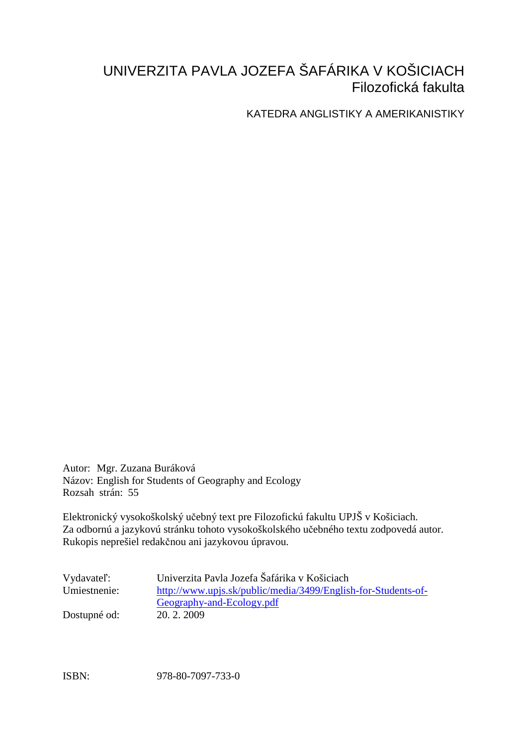# UNIVERZITA PAVLA JOZEFA ŠAFÁRIKA V KOŠICIACH Filozofická fakulta

KATEDRA ANGLISTIKY A AMERIKANISTIKY

Autor: Mgr. Zuzana Buráková Názov: English for Students of Geography and Ecology Rozsah strán: 55

Elektronický vysokoškolský učebný text pre Filozofickú fakultu UPJŠ v Košiciach. Za odbornú a jazykovú stránku tohoto vysokoškolského učebného textu zodpovedá autor. Rukopis neprešiel redakčnou ani jazykovou úpravou.

| Vydavatel':  | Univerzita Pavla Jozefa Šafárika v Košiciach                  |
|--------------|---------------------------------------------------------------|
| Umiestnenie: | http://www.upjs.sk/public/media/3499/English-for-Students-of- |
|              | Geography-and-Ecology.pdf                                     |
| Dostupné od: | 20. 2. 2009                                                   |

ISBN: 978-80-7097-733-0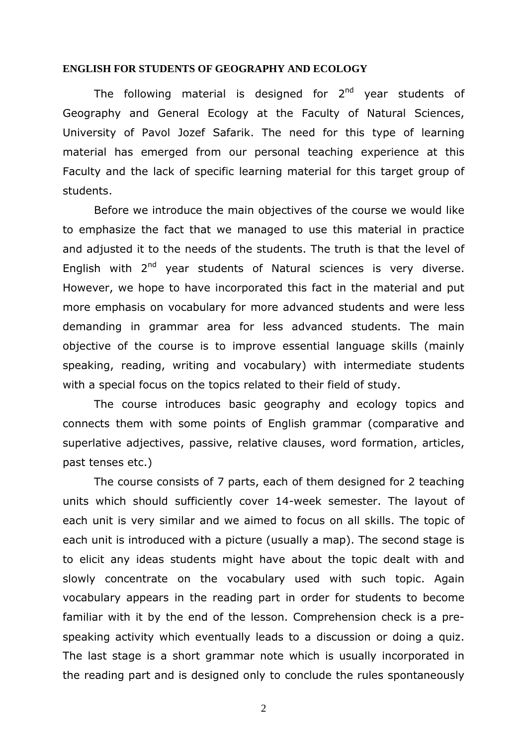#### **ENGLISH FOR STUDENTS OF GEOGRAPHY AND ECOLOGY**

The following material is designed for  $2<sup>nd</sup>$  year students of Geography and General Ecology at the Faculty of Natural Sciences, University of Pavol Jozef Safarik. The need for this type of learning material has emerged from our personal teaching experience at this Faculty and the lack of specific learning material for this target group of students.

Before we introduce the main objectives of the course we would like to emphasize the fact that we managed to use this material in practice and adjusted it to the needs of the students. The truth is that the level of English with  $2^{nd}$  year students of Natural sciences is very diverse. However, we hope to have incorporated this fact in the material and put more emphasis on vocabulary for more advanced students and were less demanding in grammar area for less advanced students. The main objective of the course is to improve essential language skills (mainly speaking, reading, writing and vocabulary) with intermediate students with a special focus on the topics related to their field of study.

The course introduces basic geography and ecology topics and connects them with some points of English grammar (comparative and superlative adjectives, passive, relative clauses, word formation, articles, past tenses etc.)

The course consists of 7 parts, each of them designed for 2 teaching units which should sufficiently cover 14-week semester. The layout of each unit is very similar and we aimed to focus on all skills. The topic of each unit is introduced with a picture (usually a map). The second stage is to elicit any ideas students might have about the topic dealt with and slowly concentrate on the vocabulary used with such topic. Again vocabulary appears in the reading part in order for students to become familiar with it by the end of the lesson. Comprehension check is a prespeaking activity which eventually leads to a discussion or doing a quiz. The last stage is a short grammar note which is usually incorporated in the reading part and is designed only to conclude the rules spontaneously

2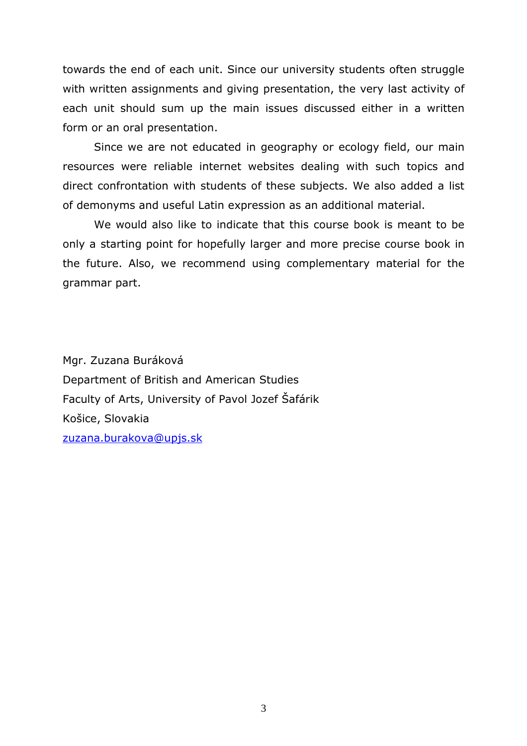towards the end of each unit. Since our university students often struggle with written assignments and giving presentation, the very last activity of each unit should sum up the main issues discussed either in a written form or an oral presentation.

 Since we are not educated in geography or ecology field, our main resources were reliable internet websites dealing with such topics and direct confrontation with students of these subjects. We also added a list of demonyms and useful Latin expression as an additional material.

We would also like to indicate that this course book is meant to be only a starting point for hopefully larger and more precise course book in the future. Also, we recommend using complementary material for the grammar part.

Mgr. Zuzana Buráková Department of British and American Studies Faculty of Arts, University of Pavol Jozef Šafárik Košice, Slovakia zuzana.burakova@upjs.sk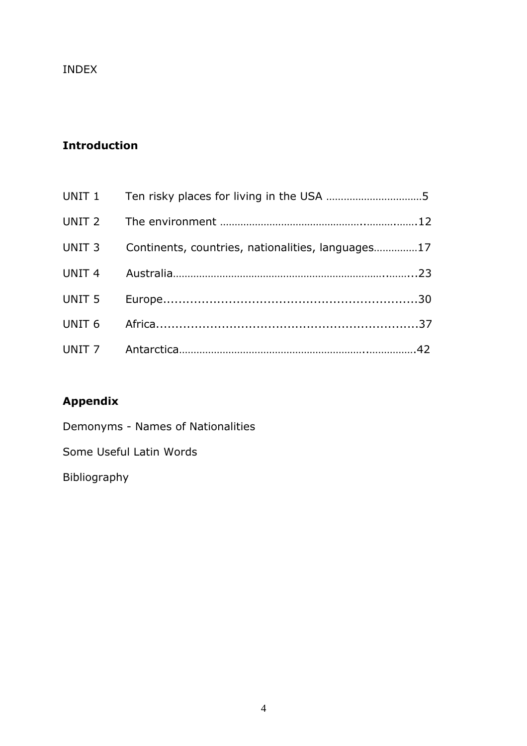### INDEX

# Introduction

| UNIT 3 Continents, countries, nationalities, languages17 |  |
|----------------------------------------------------------|--|
|                                                          |  |
|                                                          |  |
|                                                          |  |
|                                                          |  |

# Appendix

Demonyms - Names of Nationalities

Some Useful Latin Words

Bibliography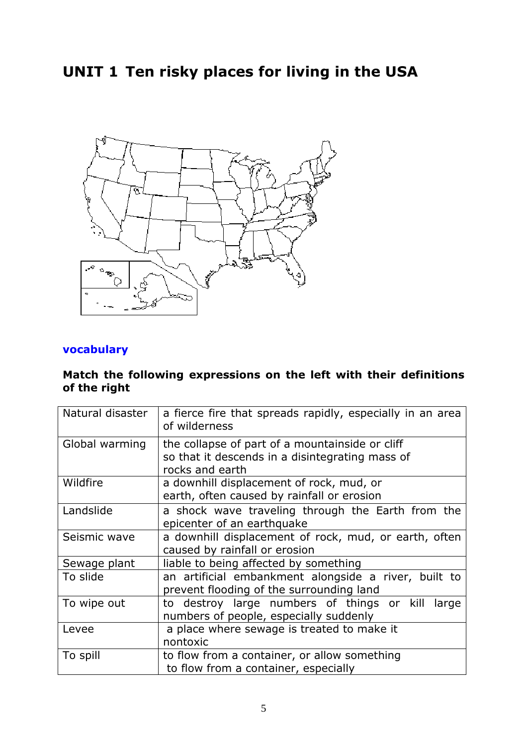# UNIT 1 Ten risky places for living in the USA



### vocabulary

#### Match the following expressions on the left with their definitions of the right

| Natural disaster | a fierce fire that spreads rapidly, especially in an area<br>of wilderness                                            |  |  |
|------------------|-----------------------------------------------------------------------------------------------------------------------|--|--|
| Global warming   | the collapse of part of a mountainside or cliff<br>so that it descends in a disintegrating mass of<br>rocks and earth |  |  |
| Wildfire         | a downhill displacement of rock, mud, or<br>earth, often caused by rainfall or erosion                                |  |  |
| Landslide        | a shock wave traveling through the Earth from the<br>epicenter of an earthquake                                       |  |  |
| Seismic wave     | a downhill displacement of rock, mud, or earth, often<br>caused by rainfall or erosion                                |  |  |
| Sewage plant     | liable to being affected by something                                                                                 |  |  |
| To slide         | an artificial embankment alongside a river, built to<br>prevent flooding of the surrounding land                      |  |  |
| To wipe out      | to destroy large numbers of things or kill large<br>numbers of people, especially suddenly                            |  |  |
| Levee            | a place where sewage is treated to make it<br>nontoxic                                                                |  |  |
| To spill         | to flow from a container, or allow something<br>to flow from a container, especially                                  |  |  |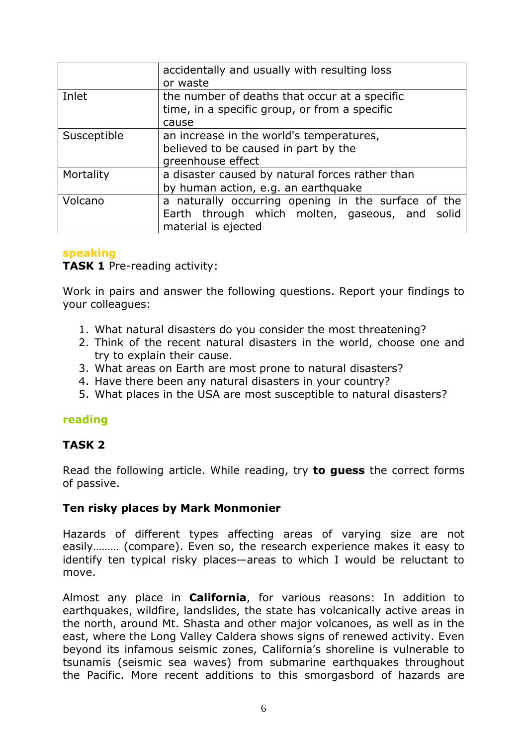|             | accidentally and usually with resulting loss<br>or waste                                                                     |
|-------------|------------------------------------------------------------------------------------------------------------------------------|
| Inlet       | the number of deaths that occur at a specific<br>time, in a specific group, or from a specific<br>cause                      |
| Susceptible | an increase in the world's temperatures,<br>believed to be caused in part by the<br>greenhouse effect                        |
| Mortality   | a disaster caused by natural forces rather than<br>by human action, e.g. an earthquake                                       |
| Volcano     | a naturally occurring opening in the surface of the<br>Earth through which molten, gaseous, and solid<br>material is ejected |

#### speaking

TASK 1 Pre-reading activity:

Work in pairs and answer the following questions. Report your findings to your colleagues:

- 1. What natural disasters do you consider the most threatening?
- 2. Think of the recent natural disasters in the world, choose one and try to explain their cause.
- 3. What areas on Earth are most prone to natural disasters?
- 4. Have there been any natural disasters in your country?
- 5. What places in the USA are most susceptible to natural disasters?

#### reading

#### TASK 2

Read the following article. While reading, try **to guess** the correct forms of passive.

#### Ten risky places by Mark Monmonier

Hazards of different types affecting areas of varying size are not easily……… (compare). Even so, the research experience makes it easy to identify ten typical risky places—areas to which I would be reluctant to move.

Almost any place in **California**, for various reasons: In addition to earthquakes, wildfire, landslides, the state has volcanically active areas in the north, around Mt. Shasta and other major volcanoes, as well as in the east, where the Long Valley Caldera shows signs of renewed activity. Even beyond its infamous seismic zones, California's shoreline is vulnerable to tsunamis (seismic sea waves) from submarine earthquakes throughout the Pacific. More recent additions to this smorgasbord of hazards are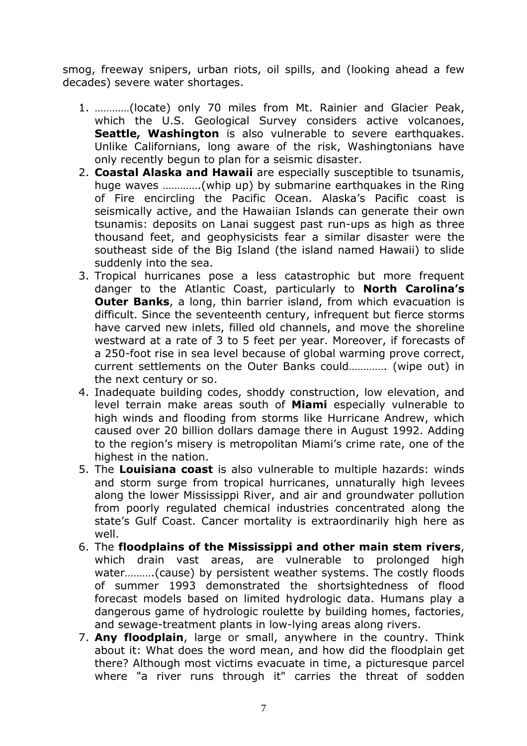smog, freeway snipers, urban riots, oil spills, and (looking ahead a few decades) severe water shortages.

- 1. …………(locate) only 70 miles from Mt. Rainier and Glacier Peak, which the U.S. Geological Survey considers active volcanoes, Seattle, Washington is also vulnerable to severe earthquakes. Unlike Californians, long aware of the risk, Washingtonians have only recently begun to plan for a seismic disaster.
- 2. Coastal Alaska and Hawaii are especially susceptible to tsunamis, huge waves ………….(whip up) by submarine earthquakes in the Ring of Fire encircling the Pacific Ocean. Alaska's Pacific coast is seismically active, and the Hawaiian Islands can generate their own tsunamis: deposits on Lanai suggest past run-ups as high as three thousand feet, and geophysicists fear a similar disaster were the southeast side of the Big Island (the island named Hawaii) to slide suddenly into the sea.
- 3. Tropical hurricanes pose a less catastrophic but more frequent danger to the Atlantic Coast, particularly to **North Carolina's Outer Banks,** a long, thin barrier island, from which evacuation is difficult. Since the seventeenth century, infrequent but fierce storms have carved new inlets, filled old channels, and move the shoreline westward at a rate of 3 to 5 feet per year. Moreover, if forecasts of a 250-foot rise in sea level because of global warming prove correct, current settlements on the Outer Banks could…………. (wipe out) in the next century or so.
- 4. Inadequate building codes, shoddy construction, low elevation, and level terrain make areas south of **Miami** especially vulnerable to high winds and flooding from storms like Hurricane Andrew, which caused over 20 billion dollars damage there in August 1992. Adding to the region's misery is metropolitan Miami's crime rate, one of the highest in the nation.
- 5. The **Louisiana coast** is also vulnerable to multiple hazards: winds and storm surge from tropical hurricanes, unnaturally high levees along the lower Mississippi River, and air and groundwater pollution from poorly regulated chemical industries concentrated along the state's Gulf Coast. Cancer mortality is extraordinarily high here as well.
- 6. The floodplains of the Mississippi and other main stem rivers, which drain vast areas, are vulnerable to prolonged high water……….(cause) by persistent weather systems. The costly floods of summer 1993 demonstrated the shortsightedness of flood forecast models based on limited hydrologic data. Humans play a dangerous game of hydrologic roulette by building homes, factories, and sewage-treatment plants in low-lying areas along rivers.
- 7. Any floodplain, large or small, anywhere in the country. Think about it: What does the word mean, and how did the floodplain get there? Although most victims evacuate in time, a picturesque parcel where "a river runs through it" carries the threat of sodden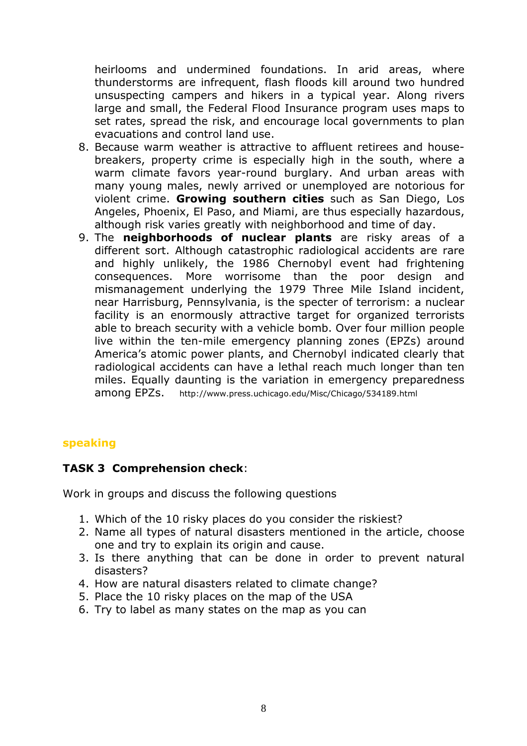heirlooms and undermined foundations. In arid areas, where thunderstorms are infrequent, flash floods kill around two hundred unsuspecting campers and hikers in a typical year. Along rivers large and small, the Federal Flood Insurance program uses maps to set rates, spread the risk, and encourage local governments to plan evacuations and control land use.

- 8. Because warm weather is attractive to affluent retirees and housebreakers, property crime is especially high in the south, where a warm climate favors year-round burglary. And urban areas with many young males, newly arrived or unemployed are notorious for violent crime. Growing southern cities such as San Diego, Los Angeles, Phoenix, El Paso, and Miami, are thus especially hazardous, although risk varies greatly with neighborhood and time of day.
- 9. The **neighborhoods of nuclear plants** are risky areas of a different sort. Although catastrophic radiological accidents are rare and highly unlikely, the 1986 Chernobyl event had frightening consequences. More worrisome than the poor design and mismanagement underlying the 1979 Three Mile Island incident, near Harrisburg, Pennsylvania, is the specter of terrorism: a nuclear facility is an enormously attractive target for organized terrorists able to breach security with a vehicle bomb. Over four million people live within the ten-mile emergency planning zones (EPZs) around America's atomic power plants, and Chernobyl indicated clearly that radiological accidents can have a lethal reach much longer than ten miles. Equally daunting is the variation in emergency preparedness among EPZs. http://www.press.uchicago.edu/Misc/Chicago/534189.html

#### speaking

#### TASK 3 Comprehension check:

Work in groups and discuss the following questions

- 1. Which of the 10 risky places do you consider the riskiest?
- 2. Name all types of natural disasters mentioned in the article, choose one and try to explain its origin and cause.
- 3. Is there anything that can be done in order to prevent natural disasters?
- 4. How are natural disasters related to climate change?
- 5. Place the 10 risky places on the map of the USA
- 6. Try to label as many states on the map as you can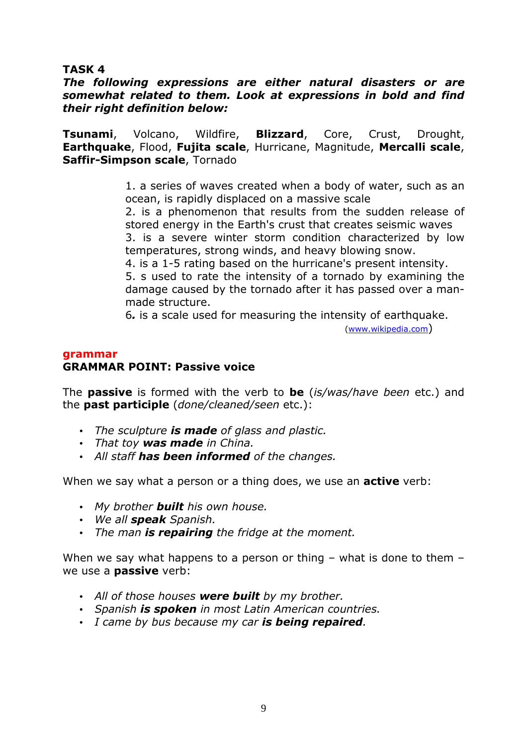#### TASK 4

#### The following expressions are either natural disasters or are somewhat related to them. Look at expressions in bold and find their right definition below:

Tsunami, Volcano, Wildfire, Blizzard, Core, Crust, Drought, Earthquake, Flood, Fujita scale, Hurricane, Magnitude, Mercalli scale, Saffir-Simpson scale, Tornado

> 1. a series of waves created when a body of water, such as an ocean, is rapidly displaced on a massive scale

> 2. is a phenomenon that results from the sudden release of stored energy in the Earth's crust that creates seismic waves 3. is a severe winter storm condition characterized by low temperatures, strong winds, and heavy blowing snow.

> 4. is a 1-5 rating based on the hurricane's present intensity. 5. s used to rate the intensity of a tornado by examining the damage caused by the tornado after it has passed over a manmade structure.

6. is a scale used for measuring the intensity of earthquake.

(www.wikipedia.com)

#### grammar

#### GRAMMAR POINT: Passive voice

The **passive** is formed with the verb to **be** (is/was/have been etc.) and the **past participle** (*done/cleaned/seen* etc.):

- The sculpture is made of glass and plastic.
- That toy was made in China.
- All staff has been informed of the changes.

When we say what a person or a thing does, we use an **active** verb:

- My brother **built** his own house.
- We all **speak** Spanish.
- The man is repairing the fridge at the moment.

When we say what happens to a person or thing – what is done to them – we use a **passive** verb:

- All of those houses were built by my brother.
- Spanish is spoken in most Latin American countries.
- I came by bus because my car is being repaired.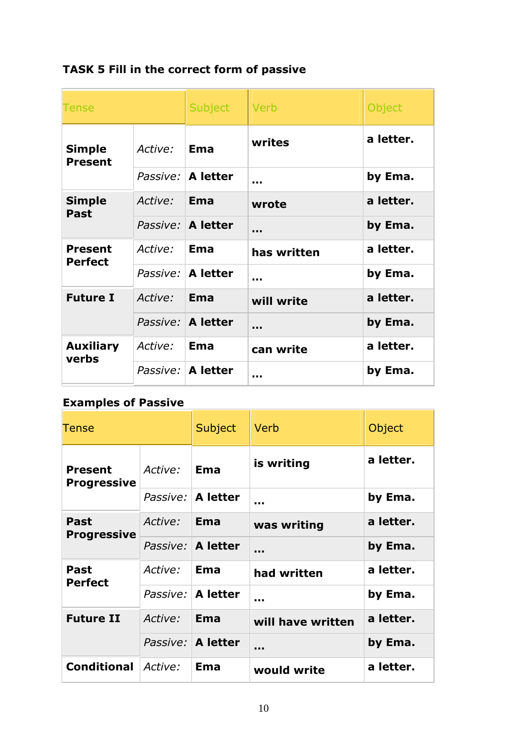TASK 5 Fill in the correct form of passive

| Tense                            |         | <b>Subject</b>      | Verb        | Object    |
|----------------------------------|---------|---------------------|-------------|-----------|
| <b>Simple</b><br><b>Present</b>  | Active: | <b>Ema</b>          | writes      | a letter. |
|                                  |         | Passive: A letter   |             | by Ema.   |
| <b>Simple</b><br>Past            | Active: | Ema                 | wrote       | a letter. |
|                                  |         | Passive:   A letter |             | by Ema.   |
| <b>Present</b><br><b>Perfect</b> | Active: | Ema                 | has written | a letter. |
|                                  |         | Passive: A letter   |             | by Ema.   |
| <b>Future I</b>                  | Active: | <b>Ema</b>          | will write  | a letter. |
|                                  |         | Passive: A letter   |             | by Ema.   |
| <b>Auxiliary</b><br>verbs        | Active: | Ema                 | can write   | a letter. |
|                                  |         | Passive:   A letter |             | by Ema.   |

# Examples of Passive

| <b>Tense</b>                      |          | Subject           | Verb              | Object    |
|-----------------------------------|----------|-------------------|-------------------|-----------|
| Present<br><b>Progressive</b>     | Active:  | Ema               | is writing        | a letter. |
|                                   | Passive: | <b>A</b> letter   | <b>ALC N</b>      | by Ema.   |
| <b>Past</b><br><b>Progressive</b> | Active:  | Ema               | was writing       | a letter. |
|                                   |          | Passive: A letter |                   | by Ema.   |
| Past<br><b>Perfect</b>            | Active:  | Ema               | had written       | a letter. |
|                                   | Passive: | <b>A</b> letter   |                   | by Ema.   |
| <b>Future II</b>                  | Active:  | Ema               | will have written | a letter. |
|                                   | Passive: | A letter          |                   | by Ema.   |
| <b>Conditional</b>                | Active:  | <b>Ema</b>        | would write       | a letter. |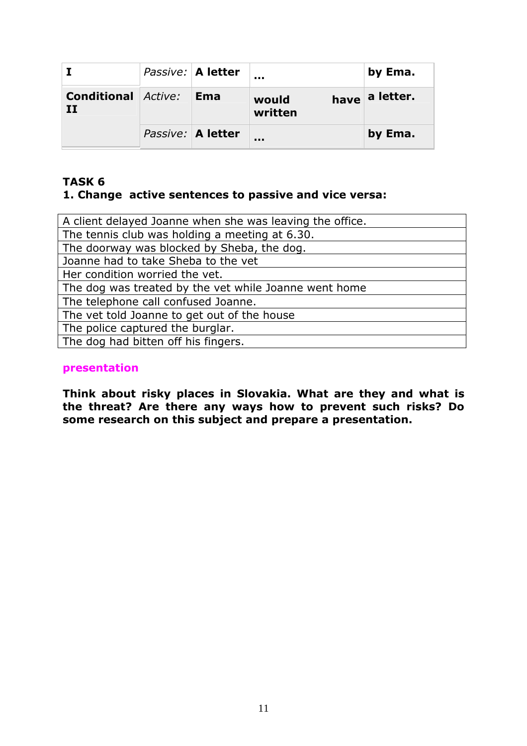|                                 | Passive:   A letter |                  | by Ema.        |
|---------------------------------|---------------------|------------------|----------------|
| <b>Conditional Active:</b><br>п | <b>Ema</b>          | would<br>written | have a letter. |
|                                 | Passive: A letter   |                  | by Ema.        |

#### TASK 6 1. Change active sentences to passive and vice versa:

| A client delayed Joanne when she was leaving the office. |
|----------------------------------------------------------|
| The tennis club was holding a meeting at 6.30.           |
| The doorway was blocked by Sheba, the dog.               |
| Joanne had to take Sheba to the vet                      |
| Her condition worried the vet.                           |
| The dog was treated by the vet while Joanne went home    |
| The telephone call confused Joanne.                      |
| The vet told Joanne to get out of the house              |
| The police captured the burglar.                         |
| The dog had bitten off his fingers.                      |
|                                                          |

#### presentation

Think about risky places in Slovakia. What are they and what is the threat? Are there any ways how to prevent such risks? Do some research on this subject and prepare a presentation.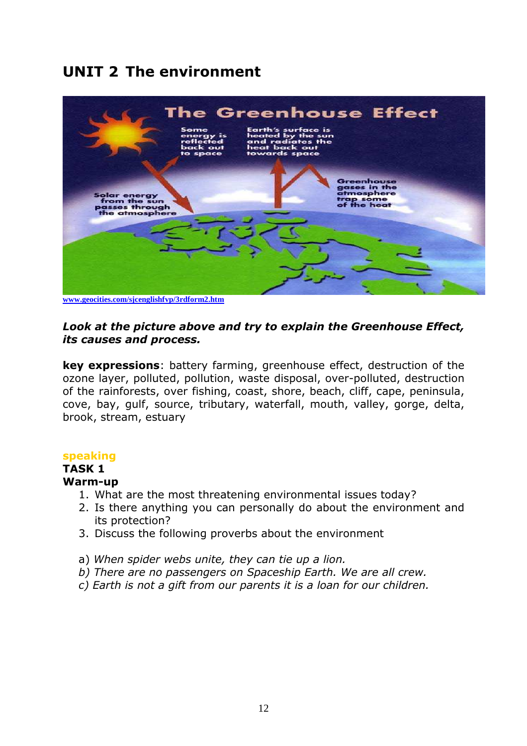# UNIT 2 The environment



**www.geocities.com/sjcenglishfvp/3rdform2.htm**

#### Look at the picture above and try to explain the Greenhouse Effect, its causes and process.

key expressions: battery farming, greenhouse effect, destruction of the ozone layer, polluted, pollution, waste disposal, over-polluted, destruction of the rainforests, over fishing, coast, shore, beach, cliff, cape, peninsula, cove, bay, gulf, source, tributary, waterfall, mouth, valley, gorge, delta, brook, stream, estuary

#### speaking

# TASK 1

### Warm-up

- 1. What are the most threatening environmental issues today?
- 2. Is there anything you can personally do about the environment and its protection?
- 3. Discuss the following proverbs about the environment
- a) When spider webs unite, they can tie up a lion.
- b) There are no passengers on Spaceship Earth. We are all crew.
- c) Earth is not a gift from our parents it is a loan for our children.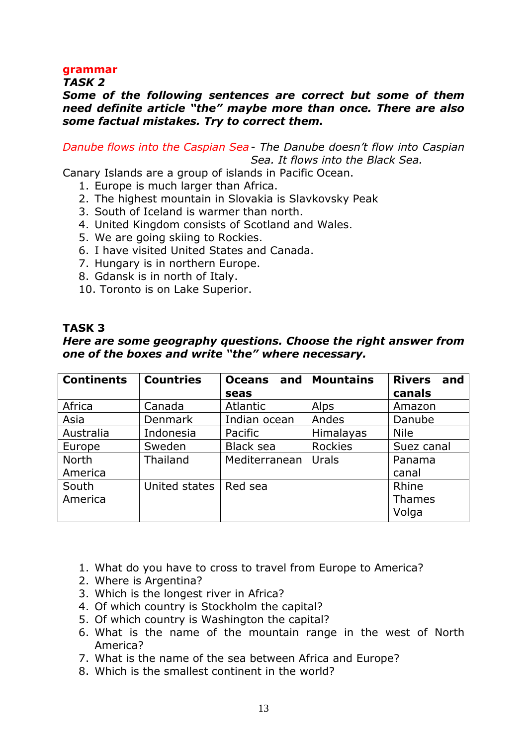#### grammar

TASK 2

#### Some of the following sentences are correct but some of them need definite article "the" maybe more than once. There are also some factual mistakes. Try to correct them.

Danube flows into the Caspian Sea - The Danube doesn't flow into Caspian Sea. It flows into the Black Sea.

Canary Islands are a group of islands in Pacific Ocean.

- 1. Europe is much larger than Africa.
- 2. The highest mountain in Slovakia is Slavkovsky Peak
- 3. South of Iceland is warmer than north.
- 4. United Kingdom consists of Scotland and Wales.
- 5. We are going skiing to Rockies.
- 6. I have visited United States and Canada.
- 7. Hungary is in northern Europe.
- 8. Gdansk is in north of Italy.
- 10. Toronto is on Lake Superior.

#### TASK 3

#### Here are some geography questions. Choose the right answer from one of the boxes and write "the" where necessary.

| <b>Continents</b> | <b>Countries</b> | <b>Oceans</b><br>and | <b>Mountains</b> | <b>Rivers</b><br>and |
|-------------------|------------------|----------------------|------------------|----------------------|
|                   |                  | seas                 |                  | canals               |
| Africa            | Canada           | <b>Atlantic</b>      | Alps             | Amazon               |
| Asia              | <b>Denmark</b>   | Indian ocean         | Andes            | Danube               |
| Australia         | Indonesia        | Pacific              | Himalayas        | <b>Nile</b>          |
| Europe            | Sweden           | Black sea            | <b>Rockies</b>   | Suez canal           |
| <b>North</b>      | <b>Thailand</b>  | Mediterranean        | Urals            | Panama               |
| America           |                  |                      |                  | canal                |
| South             | United states    | Red sea              |                  | Rhine                |
| America           |                  |                      |                  | <b>Thames</b>        |
|                   |                  |                      |                  | Volga                |

- 1. What do you have to cross to travel from Europe to America?
- 2. Where is Argentina?
- 3. Which is the longest river in Africa?
- 4. Of which country is Stockholm the capital?
- 5. Of which country is Washington the capital?
- 6. What is the name of the mountain range in the west of North America?
- 7. What is the name of the sea between Africa and Europe?
- 8. Which is the smallest continent in the world?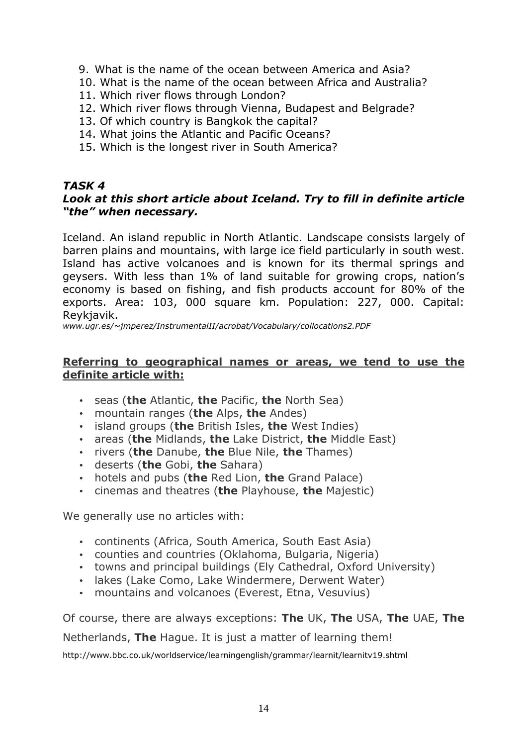- 9. What is the name of the ocean between America and Asia?
- 10. What is the name of the ocean between Africa and Australia?
- 11. Which river flows through London?
- 12. Which river flows through Vienna, Budapest and Belgrade?
- 13. Of which country is Bangkok the capital?
- 14. What joins the Atlantic and Pacific Oceans?
- 15. Which is the longest river in South America?

### TASK 4

#### Look at this short article about Iceland. Try to fill in definite article "the" when necessary.

Iceland. An island republic in North Atlantic. Landscape consists largely of barren plains and mountains, with large ice field particularly in south west. Island has active volcanoes and is known for its thermal springs and geysers. With less than 1% of land suitable for growing crops, nation's economy is based on fishing, and fish products account for 80% of the exports. Area: 103, 000 square km. Population: 227, 000. Capital: Reykjavik.

www.ugr.es/~jmperez/InstrumentalII/acrobat/Vocabulary/collocations2.PDF

#### Referring to geographical names or areas, we tend to use the definite article with:

- $\bullet$  seas (the Atlantic, the Pacific, the North Sea)
- mountain ranges (the Alps, the Andes)
- $\bullet$  island groups (the British Isles, the West Indies)
- areas (the Midlands, the Lake District, the Middle East)
- rivers (the Danube, the Blue Nile, the Thames)
- deserts (the Gobi, the Sahara)
- hotels and pubs (the Red Lion, the Grand Palace)
- $\bullet$  cinemas and theatres (the Playhouse, the Majestic)

We generally use no articles with:

- continents (Africa, South America, South East Asia)
- counties and countries (Oklahoma, Bulgaria, Nigeria)
- towns and principal buildings (Ely Cathedral, Oxford University)
- lakes (Lake Como, Lake Windermere, Derwent Water)
- mountains and volcanoes (Everest, Etna, Vesuvius)

Of course, there are always exceptions: The UK, The USA, The UAE, The

Netherlands, The Hague. It is just a matter of learning them!

http://www.bbc.co.uk/worldservice/learningenglish/grammar/learnit/learnitv19.shtml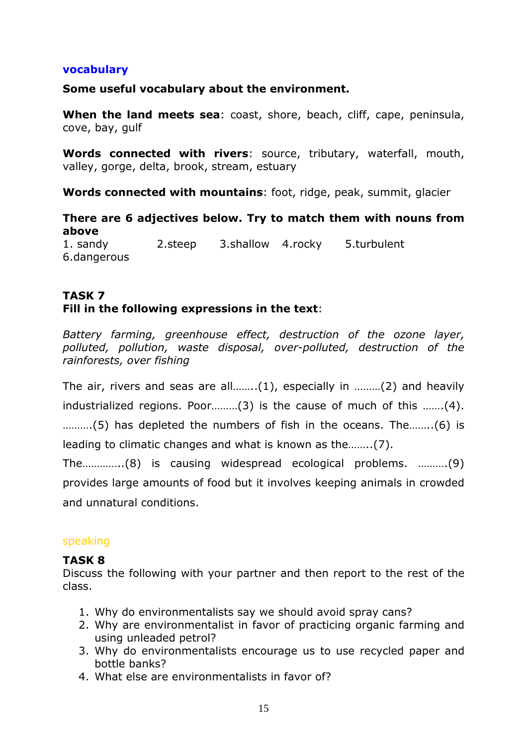#### vocabulary

#### Some useful vocabulary about the environment.

When the land meets sea: coast, shore, beach, cliff, cape, peninsula, cove, bay, gulf

Words connected with rivers: source, tributary, waterfall, mouth, valley, gorge, delta, brook, stream, estuary

Words connected with mountains: foot, ridge, peak, summit, glacier

There are 6 adjectives below. Try to match them with nouns from above 1. sandy 2.steep 3.shallow 4.rocky 5.turbulent

6.dangerous

### TASK 7 Fill in the following expressions in the text:

Battery farming, greenhouse effect, destruction of the ozone layer, polluted, pollution, waste disposal, over-polluted, destruction of the rainforests, over fishing

The air, rivers and seas are all……..(1), especially in ………(2) and heavily industrialized regions. Poor………(3) is the cause of much of this …….(4). ……….(5) has depleted the numbers of fish in the oceans. The……..(6) is leading to climatic changes and what is known as the……..(7).

The…………..(8) is causing widespread ecological problems. ……….(9) provides large amounts of food but it involves keeping animals in crowded and unnatural conditions.

#### speaking

#### TASK 8

Discuss the following with your partner and then report to the rest of the class.

- 1. Why do environmentalists say we should avoid spray cans?
- 2. Why are environmentalist in favor of practicing organic farming and using unleaded petrol?
- 3. Why do environmentalists encourage us to use recycled paper and bottle banks?
- 4. What else are environmentalists in favor of?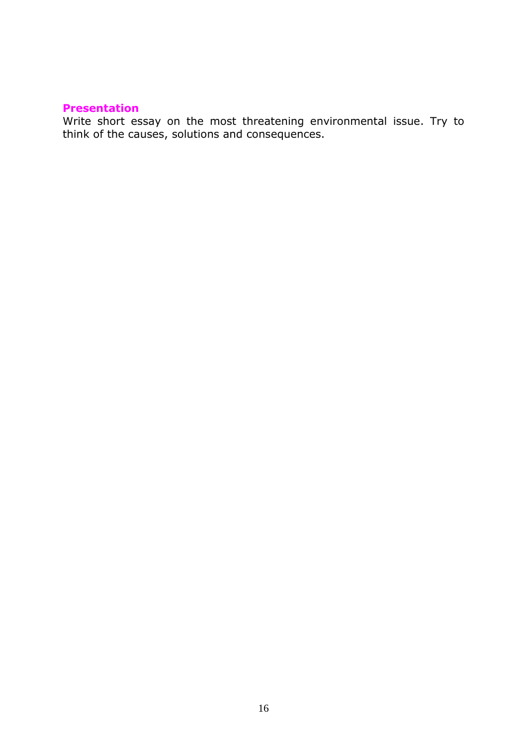#### Presentation

Write short essay on the most threatening environmental issue. Try to think of the causes, solutions and consequences.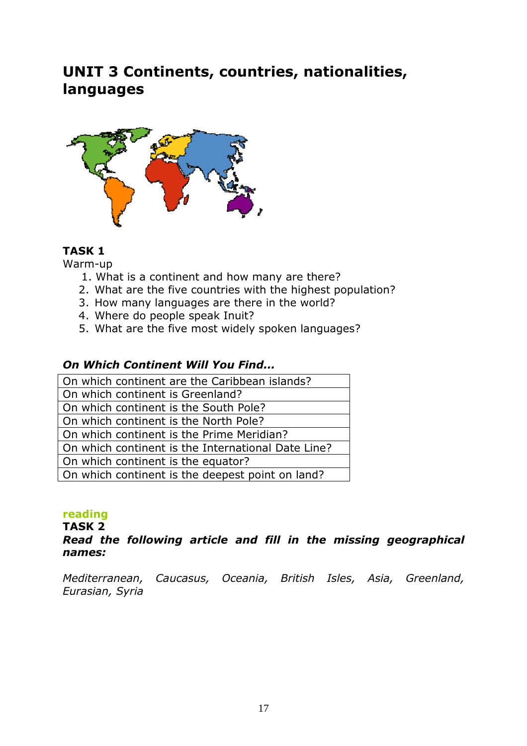# UNIT 3 Continents, countries, nationalities, languages



# TASK 1

Warm-up

- 1. What is a continent and how many are there?
- 2. What are the five countries with the highest population?
- 3. How many languages are there in the world?
- 4. Where do people speak Inuit?
- 5. What are the five most widely spoken languages?

#### On Which Continent Will You Find...

#### reading

TASK 2

#### Read the following article and fill in the missing geographical names:

Mediterranean, Caucasus, Oceania, British Isles, Asia, Greenland, Eurasian, Syria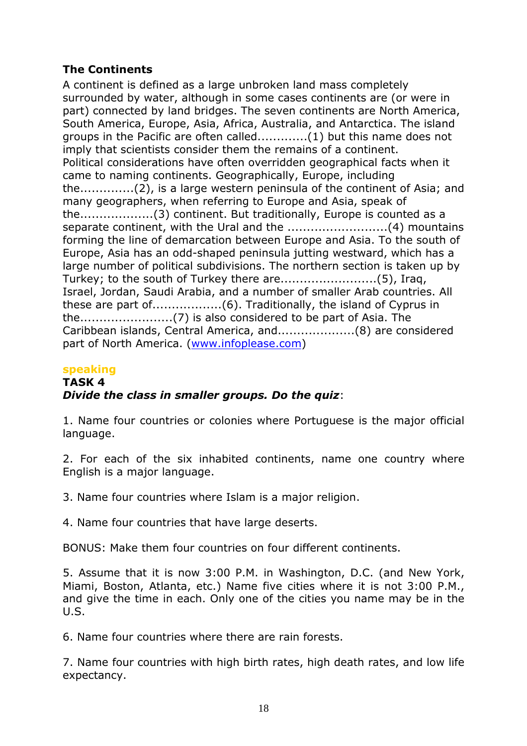### The Continents

A continent is defined as a large unbroken land mass completely surrounded by water, although in some cases continents are (or were in part) connected by land bridges. The seven continents are North America, South America, Europe, Asia, Africa, Australia, and Antarctica. The island groups in the Pacific are often called.............(1) but this name does not imply that scientists consider them the remains of a continent. Political considerations have often overridden geographical facts when it came to naming continents. Geographically, Europe, including the..............(2), is a large western peninsula of the continent of Asia; and many geographers, when referring to Europe and Asia, speak of the...................(3) continent. But traditionally, Europe is counted as a separate continent, with the Ural and the ..........................(4) mountains forming the line of demarcation between Europe and Asia. To the south of Europe, Asia has an odd-shaped peninsula jutting westward, which has a large number of political subdivisions. The northern section is taken up by Turkey; to the south of Turkey there are.........................(5), Iraq, Israel, Jordan, Saudi Arabia, and a number of smaller Arab countries. All these are part of..................(6). Traditionally, the island of Cyprus in the........................(7) is also considered to be part of Asia. The Caribbean islands, Central America, and....................(8) are considered part of North America. (www.infoplease.com)

#### speaking TASK 4 Divide the class in smaller groups. Do the quiz:

1. Name four countries or colonies where Portuguese is the major official language.

2. For each of the six inhabited continents, name one country where English is a major language.

3. Name four countries where Islam is a major religion.

4. Name four countries that have large deserts.

BONUS: Make them four countries on four different continents.

5. Assume that it is now 3:00 P.M. in Washington, D.C. (and New York, Miami, Boston, Atlanta, etc.) Name five cities where it is not 3:00 P.M., and give the time in each. Only one of the cities you name may be in the U.S.

6. Name four countries where there are rain forests.

7. Name four countries with high birth rates, high death rates, and low life expectancy.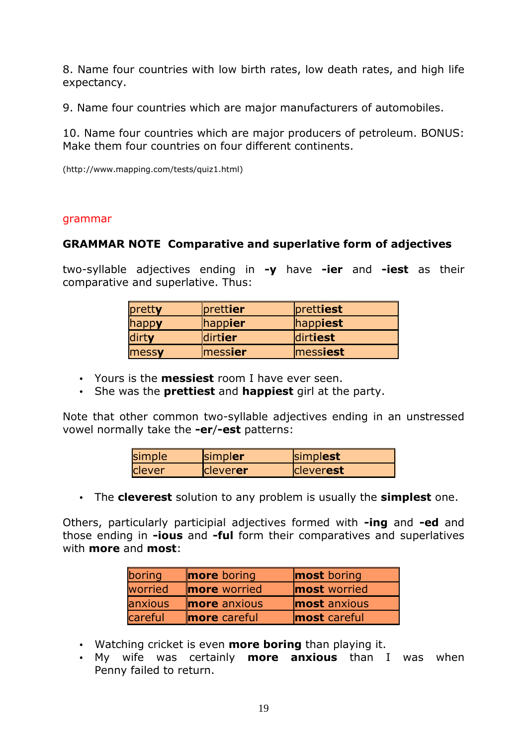8. Name four countries with low birth rates, low death rates, and high life expectancy.

9. Name four countries which are major manufacturers of automobiles.

10. Name four countries which are major producers of petroleum. BONUS: Make them four countries on four different continents.

(http://www.mapping.com/tests/quiz1.html)

#### grammar

#### GRAMMAR NOTE Comparative and superlative form of adjectives

two-syllable adjectives ending in -y have -ier and -iest as their comparative and superlative. Thus:

| pretty | prettier               | prettiest |
|--------|------------------------|-----------|
| happy  | happier                | happiest  |
| dirty  | dirtier                | dirtiest  |
| messy  | $\blacksquare$ messier | messiest  |

- Yours is the **messiest** room I have ever seen.
- She was the **prettiest** and **happiest** girl at the party.

Note that other common two-syllable adjectives ending in an unstressed vowel normally take the -er/-est patterns:

| simple | simpler          | simplest         |
|--------|------------------|------------------|
| clever | <b>Icleverer</b> | <b>Cleverest</b> |

• The cleverest solution to any problem is usually the simplest one.

Others, particularly participial adjectives formed with -ing and -ed and those ending in -ious and -ful form their comparatives and superlatives with **more** and **most**:

| boring  | <b>more</b> boring  | <b>most</b> boring  |
|---------|---------------------|---------------------|
| worried | <b>more</b> worried | <b>most</b> worried |
| anxious | <b>more</b> anxious | <b>most</b> anxious |
| careful | <b>more</b> careful | <b>most</b> careful |

- Watching cricket is even **more boring** than playing it.
- My wife was certainly **more anxious** than I was when Penny failed to return.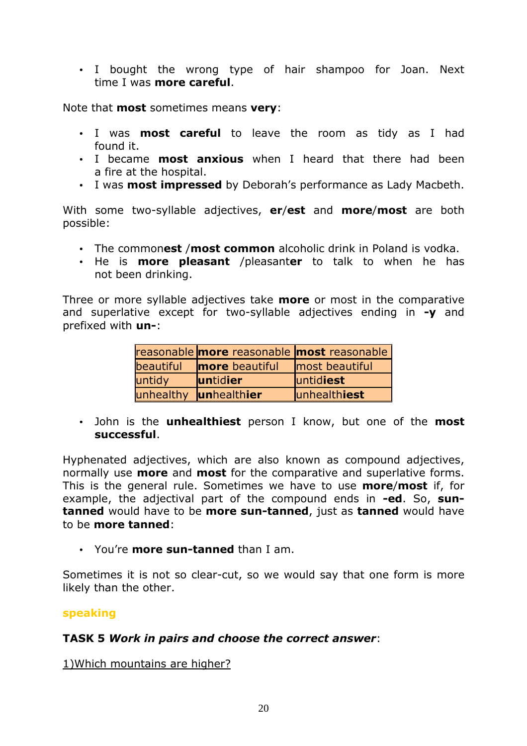• I bought the wrong type of hair shampoo for Joan. Next time I was more careful.

Note that **most** sometimes means **very**:

- I was **most careful** to leave the room as tidy as I had found it.
- I became **most anxious** when I heard that there had been a fire at the hospital.
- I was **most impressed** by Deborah's performance as Lady Macbeth.

With some two-syllable adjectives, er/est and more/most are both possible:

- The commonest /most common alcoholic drink in Poland is vodka.
- He is **more pleasant** /pleasanter to talk to when he has not been drinking.

Three or more syllable adjectives take **more** or most in the comparative and superlative except for two-syllable adjectives ending in  $-y$  and prefixed with un-:

|           | reasonable more reasonable most reasonable |                |
|-----------|--------------------------------------------|----------------|
| beautiful | <b>more</b> beautiful                      | most beautiful |
| untidy    | <b>luntidier</b>                           | luntidiest     |
| unhealthy | unhealthier                                | unhealthiest   |

• John is the **unhealthiest** person I know, but one of the **most** successful.

Hyphenated adjectives, which are also known as compound adjectives, normally use **more** and **most** for the comparative and superlative forms. This is the general rule. Sometimes we have to use **more/most** if, for example, the adjectival part of the compound ends in -ed. So, suntanned would have to be more sun-tanned, just as tanned would have to be more tanned:

• You're **more sun-tanned** than I am.

Sometimes it is not so clear-cut, so we would say that one form is more likely than the other.

#### speaking

#### TASK 5 Work in pairs and choose the correct answer:

1)Which mountains are higher?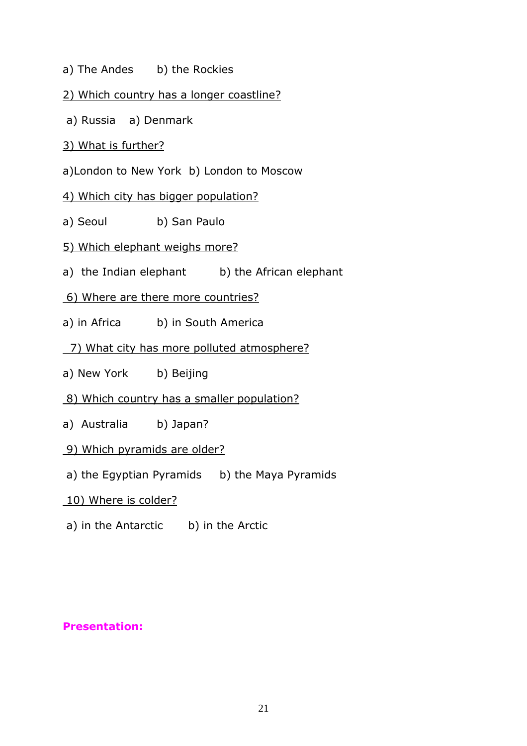a) The Andes b) the Rockies

#### 2) Which country has a longer coastline?

- a) Russia a) Denmark
- 3) What is further?
- a)London to New York b) London to Moscow
- 4) Which city has bigger population?
- a) Seoul b) San Paulo
- 5) Which elephant weighs more?
- a) the Indian elephant b) the African elephant
- 6) Where are there more countries?
- a) in Africa b) in South America
- 7) What city has more polluted atmosphere?
- a) New York b) Beijing
- 8) Which country has a smaller population?
- a) Australia b) Japan?
- 9) Which pyramids are older?
- a) the Egyptian Pyramids b) the Maya Pyramids
- 10) Where is colder?
- a) in the Antarctic b) in the Arctic

#### Presentation: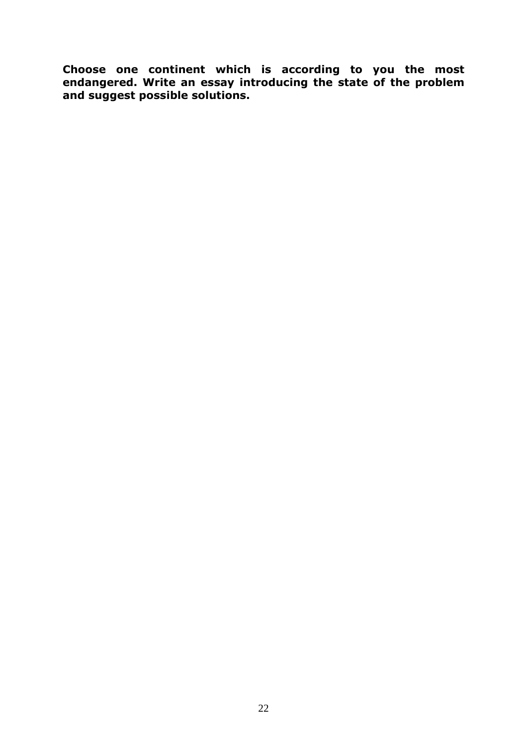Choose one continent which is according to you the most endangered. Write an essay introducing the state of the problem and suggest possible solutions.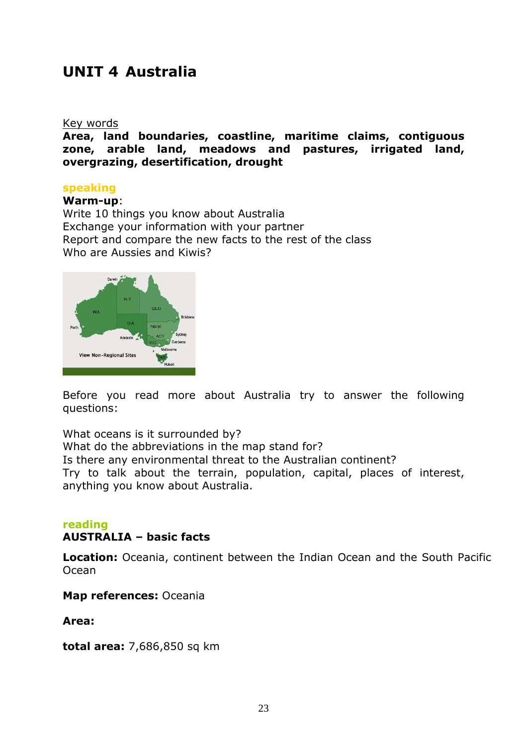# UNIT 4 Australia

#### Key words

Area, land boundaries, coastline, maritime claims, contiguous zone, arable land, meadows and pastures, irrigated land, overgrazing, desertification, drought

#### speaking

#### Warm-up:

Write 10 things you know about Australia Exchange your information with your partner Report and compare the new facts to the rest of the class Who are Aussies and Kiwis?



Before you read more about Australia try to answer the following questions:

What oceans is it surrounded by? What do the abbreviations in the map stand for? Is there any environmental threat to the Australian continent? Try to talk about the terrain, population, capital, places of interest, anything you know about Australia.

#### reading AUSTRALIA – basic facts

Location: Oceania, continent between the Indian Ocean and the South Pacific Ocean

Map references: Oceania

Area:

total area: 7,686,850 sq km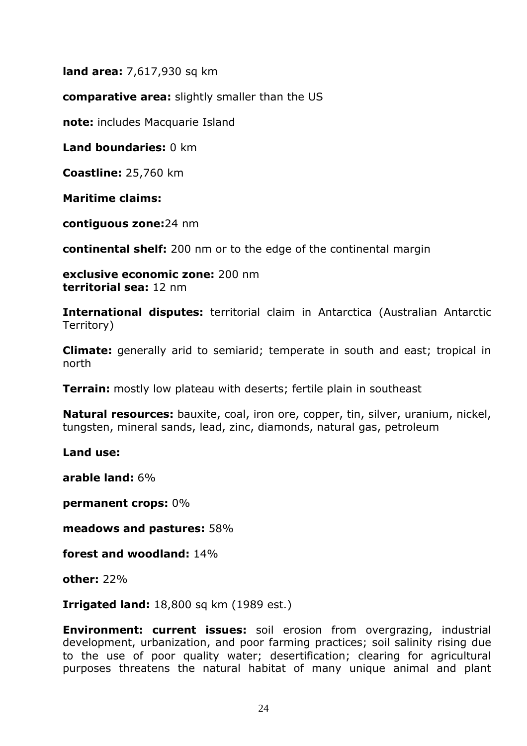**land area: 7,617,930 sq km** 

comparative area: slightly smaller than the US

note: includes Macquarie Island

Land boundaries: 0 km

Coastline: 25,760 km

Maritime claims:

contiguous zone:24 nm

continental shelf: 200 nm or to the edge of the continental margin

exclusive economic zone: 200 nm territorial sea: 12 nm

International disputes: territorial claim in Antarctica (Australian Antarctic Territory)

**Climate:** generally arid to semiarid; temperate in south and east; tropical in north

**Terrain:** mostly low plateau with deserts; fertile plain in southeast

Natural resources: bauxite, coal, iron ore, copper, tin, silver, uranium, nickel, tungsten, mineral sands, lead, zinc, diamonds, natural gas, petroleum

Land use:

arable land: 6%

permanent crops: 0%

meadows and pastures: 58%

forest and woodland: 14%

other: 22%

**Irrigated land:** 18,800 sq km (1989 est.)

**Environment: current issues:** soil erosion from overgrazing, industrial development, urbanization, and poor farming practices; soil salinity rising due to the use of poor quality water; desertification; clearing for agricultural purposes threatens the natural habitat of many unique animal and plant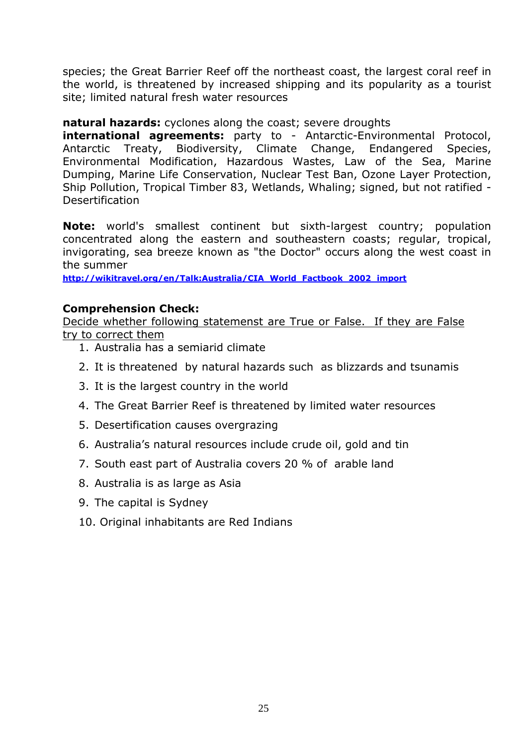species; the Great Barrier Reef off the northeast coast, the largest coral reef in the world, is threatened by increased shipping and its popularity as a tourist site; limited natural fresh water resources

#### natural hazards: cyclones along the coast; severe droughts

**international agreements:** party to - Antarctic-Environmental Protocol, Antarctic Treaty, Biodiversity, Climate Change, Endangered Species, Environmental Modification, Hazardous Wastes, Law of the Sea, Marine Dumping, Marine Life Conservation, Nuclear Test Ban, Ozone Layer Protection, Ship Pollution, Tropical Timber 83, Wetlands, Whaling; signed, but not ratified - Desertification

Note: world's smallest continent but sixth-largest country; population concentrated along the eastern and southeastern coasts; regular, tropical, invigorating, sea breeze known as "the Doctor" occurs along the west coast in the summer

http://wikitravel.org/en/Talk:Australia/CIA\_World\_Factbook\_2002\_import

#### Comprehension Check:

Decide whether following statemenst are True or False. If they are False try to correct them

- 1. Australia has a semiarid climate
- 2. It is threatened by natural hazards such as blizzards and tsunamis
- 3. It is the largest country in the world
- 4. The Great Barrier Reef is threatened by limited water resources
- 5. Desertification causes overgrazing
- 6. Australia's natural resources include crude oil, gold and tin
- 7. South east part of Australia covers 20 % of arable land
- 8. Australia is as large as Asia
- 9. The capital is Sydney
- 10. Original inhabitants are Red Indians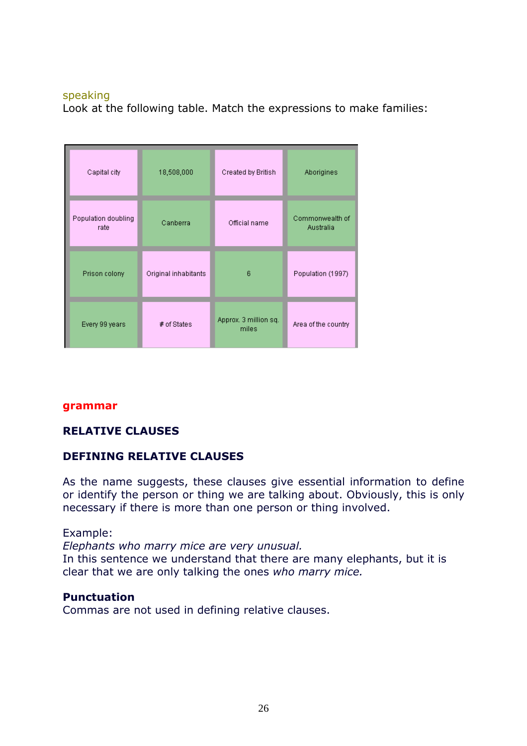#### speaking

Look at the following table. Match the expressions to make families:

| Capital city                | 18,508,000           | Created by British             | Aborigines                   |
|-----------------------------|----------------------|--------------------------------|------------------------------|
| Population doubling<br>rate | Canberra             | Official name                  | Commonwealth of<br>Australia |
| Prison colony               | Original inhabitants | 6                              | Population (1997)            |
| Every 99 years              | $#$ of States        | Approx. 3 million sq.<br>miles | Area of the country          |

#### grammar

#### RELATIVE CLAUSES

#### DEFINING RELATIVE CLAUSES

As the name suggests, these clauses give essential information to define or identify the person or thing we are talking about. Obviously, this is only necessary if there is more than one person or thing involved.

#### Example:

Elephants who marry mice are very unusual.

In this sentence we understand that there are many elephants, but it is clear that we are only talking the ones who marry mice.

#### **Punctuation**

Commas are not used in defining relative clauses.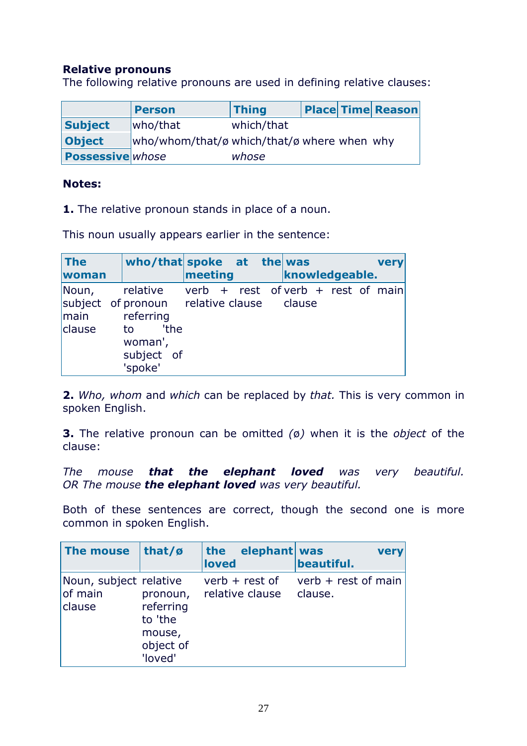#### Relative pronouns

The following relative pronouns are used in defining relative clauses:

|                         | Person                                      | <b>Thing</b> |  | <b>Place Time Reason</b> |
|-------------------------|---------------------------------------------|--------------|--|--------------------------|
| <b>Subject</b>          | who/that                                    | which/that   |  |                          |
| <b>Object</b>           | who/whom/that/ø which/that/ø where when why |              |  |                          |
| <b>Possessive</b> whose |                                             | whose        |  |                          |

#### Notes:

1. The relative pronoun stands in place of a noun.

This noun usually appears earlier in the sentence:

| The                     | who/that spoke $at$ the was                                                                                                                             |         |  |                |  | very |
|-------------------------|---------------------------------------------------------------------------------------------------------------------------------------------------------|---------|--|----------------|--|------|
| woman                   |                                                                                                                                                         | meeting |  | knowledgeable. |  |      |
| Noun,<br>main<br>clause | relative verb + rest of verb + rest of main<br>subject of pronoun relative clause clause<br>referring<br>'the<br>to<br>woman',<br>subject of<br>'spoke' |         |  |                |  |      |

2. Who, whom and which can be replaced by that. This is very common in spoken English.

**3.** The relative pronoun can be omitted  $\varnothing$ ) when it is the object of the clause:

The mouse that the elephant loved was very beautiful. OR The mouse the elephant loved was very beautiful.

Both of these sentences are correct, though the second one is more common in spoken English.

| The mouse                                   | that/ $\boldsymbol{\beta}$                                         | the<br>loved | elephant was                        | beautiful.                       | <b>very</b> |
|---------------------------------------------|--------------------------------------------------------------------|--------------|-------------------------------------|----------------------------------|-------------|
| Noun, subject relative<br>of main<br>clause | pronoun,<br>referring<br>to 'the<br>mouse,<br>object of<br>'loved' |              | $verb + rest of$<br>relative clause | verb $+$ rest of main<br>clause. |             |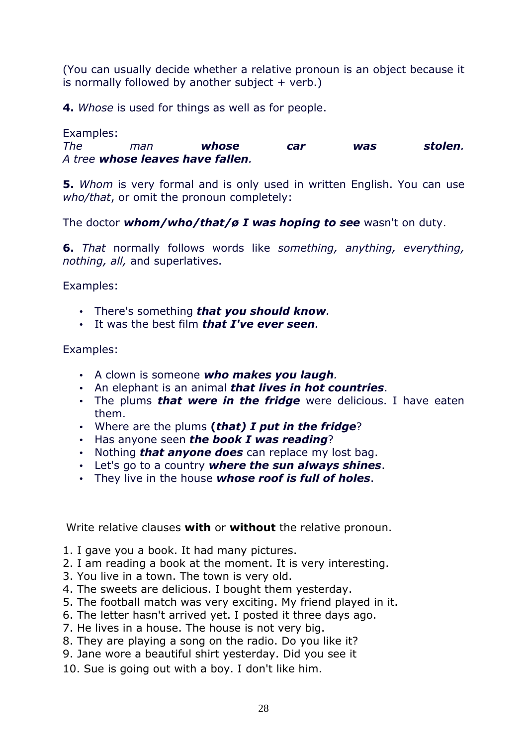(You can usually decide whether a relative pronoun is an object because it is normally followed by another subject  $+$  verb.)

4. Whose is used for things as well as for people.

Examples:

The man **whose car was stolen**. A tree whose leaves have fallen.

5. Whom is very formal and is only used in written English. You can use who/that, or omit the pronoun completely:

The doctor whom/who/that/ø I was hoping to see wasn't on duty.

6. That normally follows words like something, anything, everything, nothing, all, and superlatives.

Examples:

- There's something that you should know.
- It was the best film *that I've ever seen.*

Examples:

- A clown is someone who makes you laugh.
- An elephant is an animal **that lives in hot countries**.
- The plums *that were in the fridge* were delicious. I have eaten them.
- Where are the plums (that) I put in the fridge?
- Has anyone seen the book I was reading?
- Nothing *that anyone does* can replace my lost bag.
- Let's go to a country where the sun always shines.
- They live in the house whose roof is full of holes.

Write relative clauses with or without the relative pronoun.

- 1. I gave you a book. It had many pictures.
- 2. I am reading a book at the moment. It is very interesting.
- 3. You live in a town. The town is very old.
- 4. The sweets are delicious. I bought them yesterday.
- 5. The football match was very exciting. My friend played in it.
- 6. The letter hasn't arrived yet. I posted it three days ago.
- 7. He lives in a house. The house is not very big.
- 8. They are playing a song on the radio. Do you like it?
- 9. Jane wore a beautiful shirt yesterday. Did you see it
- 10. Sue is going out with a boy. I don't like him.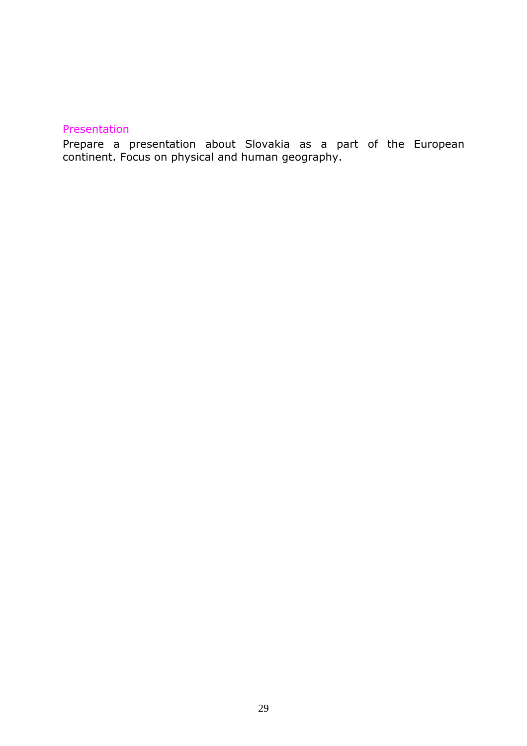#### Presentation

Prepare a presentation about Slovakia as a part of the European continent. Focus on physical and human geography.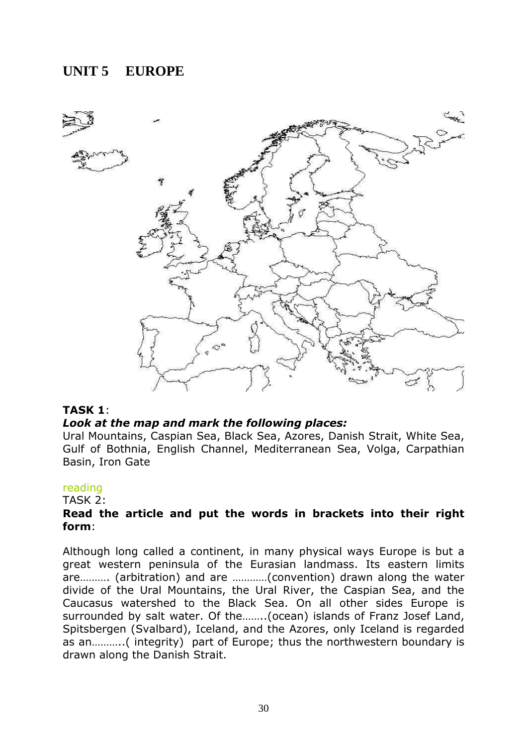# **UNIT 5 EUROPE**



#### TASK 1:

#### Look at the map and mark the following places:

Ural Mountains, Caspian Sea, Black Sea, Azores, Danish Strait, White Sea, Gulf of Bothnia, English Channel, Mediterranean Sea, Volga, Carpathian Basin, Iron Gate

#### reading

TASK 2:

#### Read the article and put the words in brackets into their right form:

Although long called a continent, in many physical ways Europe is but a great western peninsula of the Eurasian landmass. Its eastern limits are………. (arbitration) and are …………(convention) drawn along the water divide of the Ural Mountains, the Ural River, the Caspian Sea, and the Caucasus watershed to the Black Sea. On all other sides Europe is surrounded by salt water. Of the……..(ocean) islands of Franz Josef Land, Spitsbergen (Svalbard), Iceland, and the Azores, only Iceland is regarded as an………..( integrity) part of Europe; thus the northwestern boundary is drawn along the Danish Strait.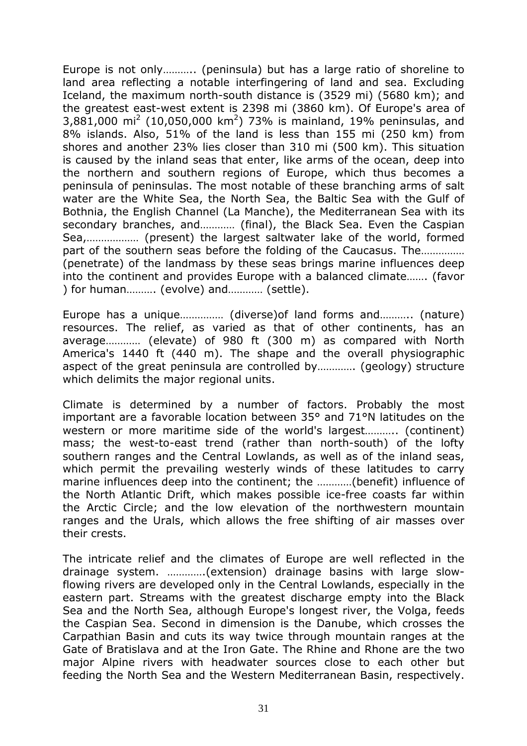Europe is not only……….. (peninsula) but has a large ratio of shoreline to land area reflecting a notable interfingering of land and sea. Excluding Iceland, the maximum north-south distance is (3529 mi) (5680 km); and the greatest east-west extent is 2398 mi (3860 km). Of Europe's area of 3,881,000 mi<sup>2</sup> (10,050,000 km<sup>2</sup>) 73% is mainland, 19% peninsulas, and 8% islands. Also, 51% of the land is less than 155 mi (250 km) from shores and another 23% lies closer than 310 mi (500 km). This situation is caused by the inland seas that enter, like arms of the ocean, deep into the northern and southern regions of Europe, which thus becomes a peninsula of peninsulas. The most notable of these branching arms of salt water are the White Sea, the North Sea, the Baltic Sea with the Gulf of Bothnia, the English Channel (La Manche), the Mediterranean Sea with its secondary branches, and………… (final), the Black Sea. Even the Caspian Sea,……………… (present) the largest saltwater lake of the world, formed part of the southern seas before the folding of the Caucasus. The…………… (penetrate) of the landmass by these seas brings marine influences deep into the continent and provides Europe with a balanced climate……. (favor ) for human………. (evolve) and………… (settle).

Europe has a unique…………… (diverse)of land forms and……….. (nature) resources. The relief, as varied as that of other continents, has an average………… (elevate) of 980 ft (300 m) as compared with North America's 1440 ft (440 m). The shape and the overall physiographic aspect of the great peninsula are controlled by…………. (geology) structure which delimits the major regional units.

Climate is determined by a number of factors. Probably the most important are a favorable location between 35° and 71°N latitudes on the western or more maritime side of the world's largest……….. (continent) mass; the west-to-east trend (rather than north-south) of the lofty southern ranges and the Central Lowlands, as well as of the inland seas, which permit the prevailing westerly winds of these latitudes to carry marine influences deep into the continent; the …………(benefit) influence of the North Atlantic Drift, which makes possible ice-free coasts far within the Arctic Circle; and the low elevation of the northwestern mountain ranges and the Urals, which allows the free shifting of air masses over their crests.

The intricate relief and the climates of Europe are well reflected in the drainage system. ………….(extension) drainage basins with large slowflowing rivers are developed only in the Central Lowlands, especially in the eastern part. Streams with the greatest discharge empty into the Black Sea and the North Sea, although Europe's longest river, the Volga, feeds the Caspian Sea. Second in dimension is the Danube, which crosses the Carpathian Basin and cuts its way twice through mountain ranges at the Gate of Bratislava and at the Iron Gate. The Rhine and Rhone are the two major Alpine rivers with headwater sources close to each other but feeding the North Sea and the Western Mediterranean Basin, respectively.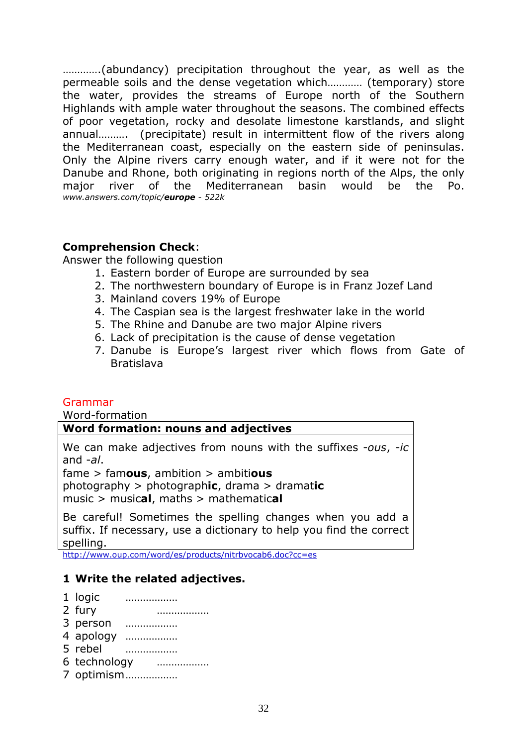………….(abundancy) precipitation throughout the year, as well as the permeable soils and the dense vegetation which………… (temporary) store the water, provides the streams of Europe north of the Southern Highlands with ample water throughout the seasons. The combined effects of poor vegetation, rocky and desolate limestone karstlands, and slight annual………. (precipitate) result in intermittent flow of the rivers along the Mediterranean coast, especially on the eastern side of peninsulas. Only the Alpine rivers carry enough water, and if it were not for the Danube and Rhone, both originating in regions north of the Alps, the only major river of the Mediterranean basin would be the Po. www.answers.com/topic/europe - 522k

#### Comprehension Check:

Answer the following question

- 1. Eastern border of Europe are surrounded by sea
- 2. The northwestern boundary of Europe is in Franz Jozef Land
- 3. Mainland covers 19% of Europe
- 4. The Caspian sea is the largest freshwater lake in the world
- 5. The Rhine and Danube are two major Alpine rivers
- 6. Lack of precipitation is the cause of dense vegetation
- 7. Danube is Europe's largest river which flows from Gate of Bratislava

#### Grammar

Word-formation

#### Word formation: nouns and adjectives

We can make adjectives from nouns with the suffixes -ous, -ic and  $-al.$ 

 $fame > famous$ , ambition  $>$  ambitious

photography  $>$  photographic, drama  $>$  dramatic music  $>$  musical, maths  $>$  mathematical

Be careful! Sometimes the spelling changes when you add a suffix. If necessary, use a dictionary to help you find the correct spelling.

http://www.oup.com/word/es/products/nitrbvocab6.doc?cc=es

#### 1 Write the related adjectives.

- 1 logic ………………
- 2 fury ………………
- 3 person ………………
- 4 apology ………………
- 5 rebel ………………
- 6 technology ………………
- 7 optimism ………………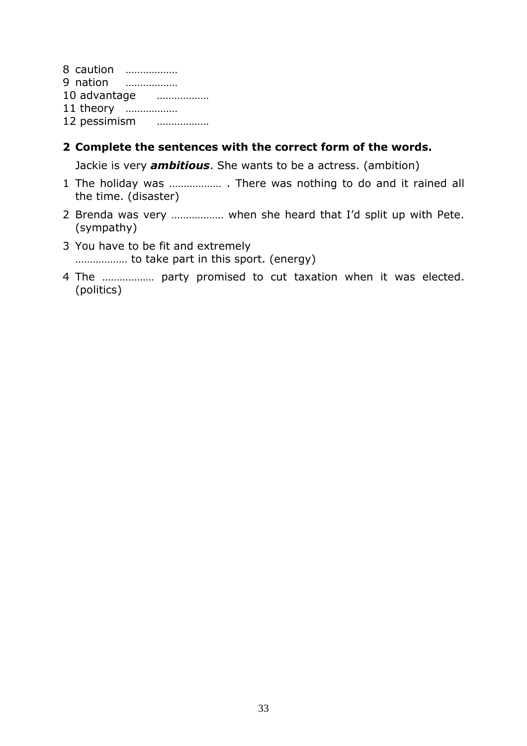8 caution ……………… 9 nation ……………… 10 advantage ……………… 11 theory ……………… 12 pessimism ………………

#### 2 Complete the sentences with the correct form of the words.

Jackie is very **ambitious**. She wants to be a actress. (ambition)

- 1 The holiday was ……………… . There was nothing to do and it rained all the time. (disaster)
- 2 Brenda was very ……………… when she heard that I'd split up with Pete. (sympathy)
- 3 You have to be fit and extremely ……………… to take part in this sport. (energy)
- 4 The ……………… party promised to cut taxation when it was elected. (politics)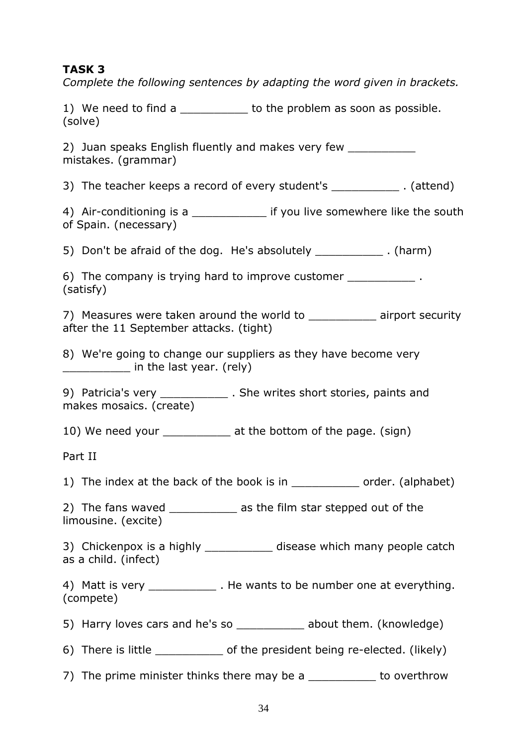#### TASK 3

Complete the following sentences by adapting the word given in brackets.

| 1) We need to find a | to the problem as soon as possible. |
|----------------------|-------------------------------------|
| (solve)              |                                     |

2) Juan speaks English fluently and makes very few mistakes. (grammar)

3) The teacher keeps a record of every student's \_\_\_\_\_\_\_\_\_\_ . (attend)

4) Air-conditioning is a statute if you live somewhere like the south of Spain. (necessary)

5) Don't be afraid of the dog. He's absolutely [5] Don't be afraid of the dog. He's absolutely

6) The company is trying hard to improve customer  $\blacksquare$ (satisfy)

7) Measures were taken around the world to airport security after the 11 September attacks. (tight)

8) We're going to change our suppliers as they have become very in the last year. (rely)

9) Patricia's very \_\_\_\_\_\_\_\_\_\_\_\_\_ . She writes short stories, paints and makes mosaics. (create)

10) We need your \_\_\_\_\_\_\_\_\_\_\_ at the bottom of the page. (sign)

Part II

1) The index at the back of the book is in example order. (alphabet)

2) The fans waved **2** as the film star stepped out of the limousine. (excite)

3) Chickenpox is a highly \_\_\_\_\_\_\_\_\_\_\_\_\_ disease which many people catch as a child. (infect)

4) Matt is very **Example 20** . He wants to be number one at everything. (compete)

5) Harry loves cars and he's so entity about them. (knowledge)

6) There is little  $\qquad \qquad$  of the president being re-elected. (likely)

7) The prime minister thinks there may be a \_\_\_\_\_\_\_\_\_\_ to overthrow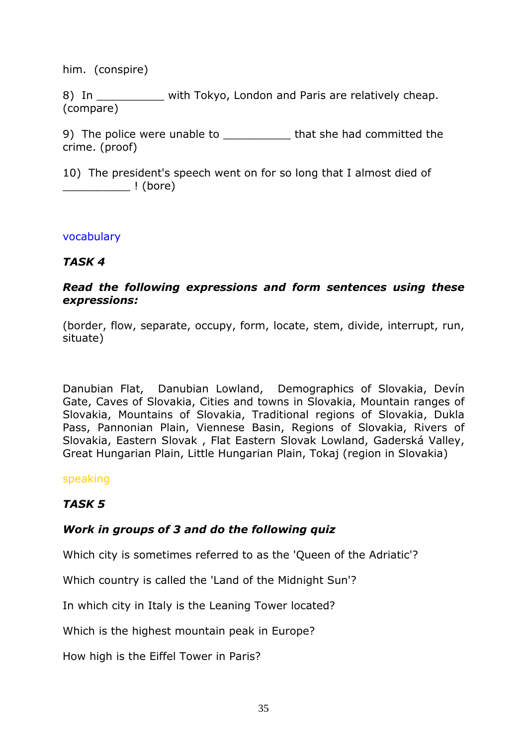him. (conspire)

8) In with Tokyo, London and Paris are relatively cheap. (compare)

9) The police were unable to \_\_\_\_\_\_\_\_\_\_\_\_\_ that she had committed the crime. (proof)

10) The president's speech went on for so long that I almost died of \_\_\_\_\_\_\_\_\_\_ ! (bore)

#### vocabulary

#### TASK 4

#### Read the following expressions and form sentences using these expressions:

(border, flow, separate, occupy, form, locate, stem, divide, interrupt, run, situate)

Danubian Flat, Danubian Lowland, Demographics of Slovakia, Devín Gate, Caves of Slovakia, Cities and towns in Slovakia, Mountain ranges of Slovakia, Mountains of Slovakia, Traditional regions of Slovakia, Dukla Pass, Pannonian Plain, Viennese Basin, Regions of Slovakia, Rivers of Slovakia, Eastern Slovak , Flat Eastern Slovak Lowland, Gaderská Valley, Great Hungarian Plain, Little Hungarian Plain, Tokaj (region in Slovakia)

#### speaking

#### TASK 5

#### Work in groups of 3 and do the following quiz

Which city is sometimes referred to as the 'Queen of the Adriatic'?

Which country is called the 'Land of the Midnight Sun'?

In which city in Italy is the Leaning Tower located?

Which is the highest mountain peak in Europe?

How high is the Eiffel Tower in Paris?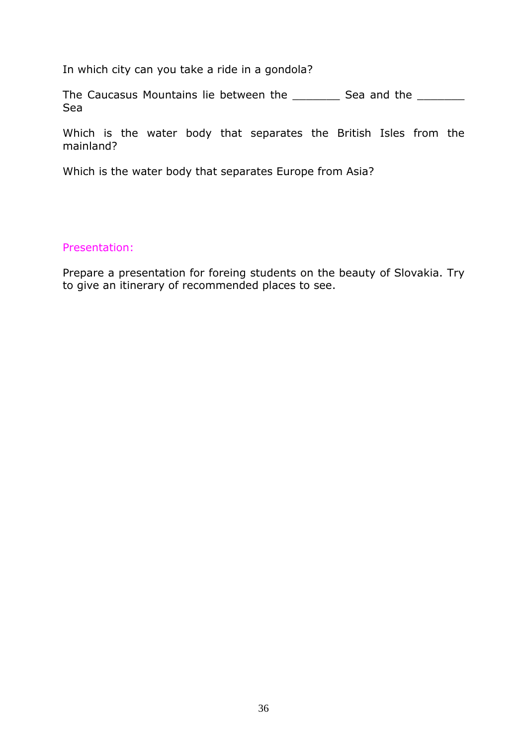In which city can you take a ride in a gondola?

The Caucasus Mountains lie between the \_\_\_\_\_\_\_\_\_ Sea and the \_\_\_\_\_\_\_\_\_ Sea

Which is the water body that separates the British Isles from the mainland?

Which is the water body that separates Europe from Asia?

#### Presentation:

Prepare a presentation for foreing students on the beauty of Slovakia. Try to give an itinerary of recommended places to see.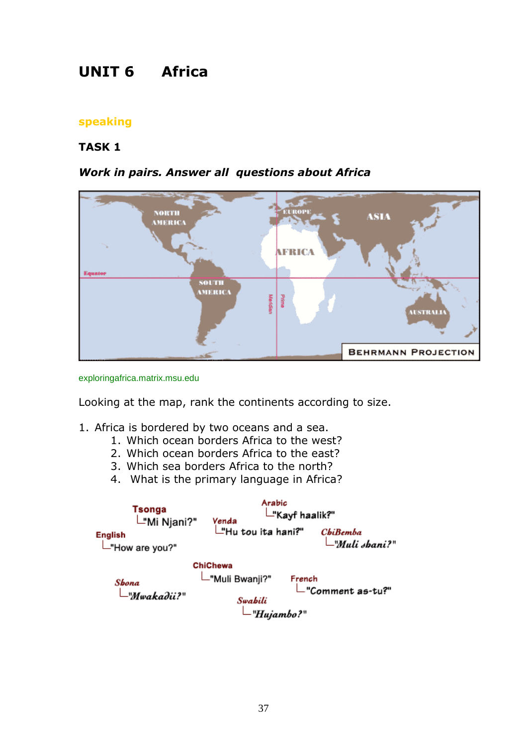# UNIT 6 Africa

#### speaking

#### TASK 1

#### Work in pairs. Answer all questions about Africa





Looking at the map, rank the continents according to size.

- 1. Africa is bordered by two oceans and a sea.
	- 1. Which ocean borders Africa to the west?
	- 2. Which ocean borders Africa to the east?
	- 3. Which sea borders Africa to the north?
	- 4. What is the primary language in Africa?

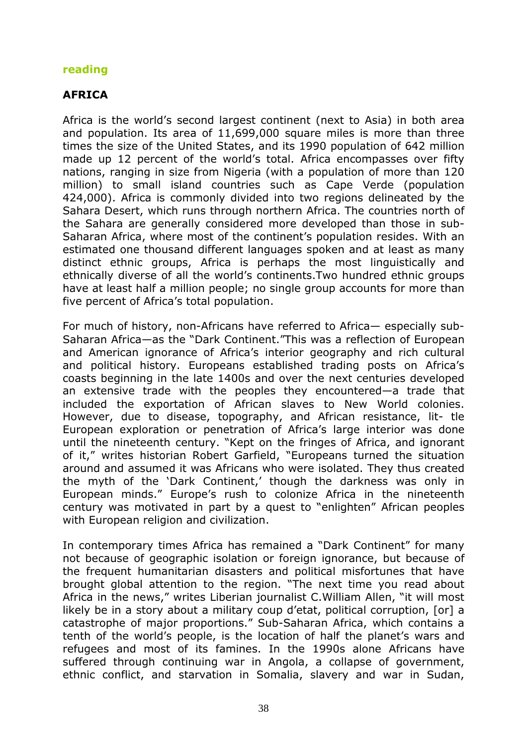#### reading

### AFRICA

Africa is the world's second largest continent (next to Asia) in both area and population. Its area of 11,699,000 square miles is more than three times the size of the United States, and its 1990 population of 642 million made up 12 percent of the world's total. Africa encompasses over fifty nations, ranging in size from Nigeria (with a population of more than 120 million) to small island countries such as Cape Verde (population 424,000). Africa is commonly divided into two regions delineated by the Sahara Desert, which runs through northern Africa. The countries north of the Sahara are generally considered more developed than those in sub-Saharan Africa, where most of the continent's population resides. With an estimated one thousand different languages spoken and at least as many distinct ethnic groups, Africa is perhaps the most linguistically and ethnically diverse of all the world's continents.Two hundred ethnic groups have at least half a million people; no single group accounts for more than five percent of Africa's total population.

For much of history, non-Africans have referred to Africa— especially sub-Saharan Africa—as the "Dark Continent."This was a reflection of European and American ignorance of Africa's interior geography and rich cultural and political history. Europeans established trading posts on Africa's coasts beginning in the late 1400s and over the next centuries developed an extensive trade with the peoples they encountered—a trade that included the exportation of African slaves to New World colonies. However, due to disease, topography, and African resistance, lit- tle European exploration or penetration of Africa's large interior was done until the nineteenth century. "Kept on the fringes of Africa, and ignorant of it," writes historian Robert Garfield, "Europeans turned the situation around and assumed it was Africans who were isolated. They thus created the myth of the 'Dark Continent,' though the darkness was only in European minds." Europe's rush to colonize Africa in the nineteenth century was motivated in part by a quest to "enlighten" African peoples with European religion and civilization.

In contemporary times Africa has remained a "Dark Continent" for many not because of geographic isolation or foreign ignorance, but because of the frequent humanitarian disasters and political misfortunes that have brought global attention to the region. "The next time you read about Africa in the news," writes Liberian journalist C.William Allen, "it will most likely be in a story about a military coup d'etat, political corruption, [or] a catastrophe of major proportions." Sub-Saharan Africa, which contains a tenth of the world's people, is the location of half the planet's wars and refugees and most of its famines. In the 1990s alone Africans have suffered through continuing war in Angola, a collapse of government, ethnic conflict, and starvation in Somalia, slavery and war in Sudan,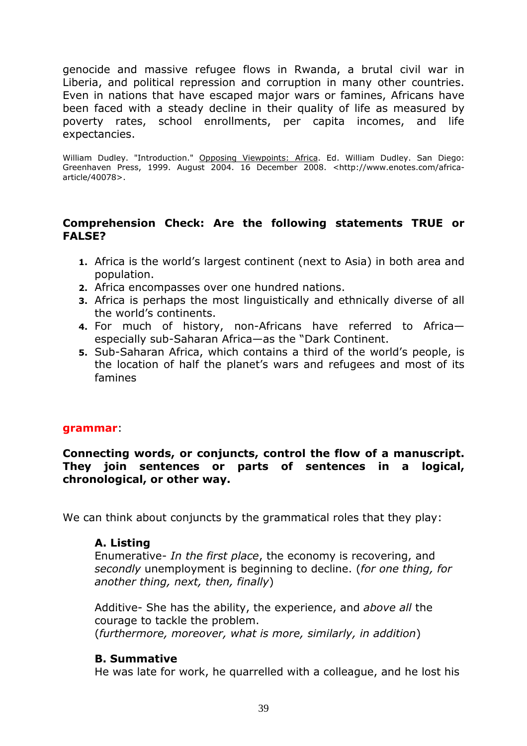genocide and massive refugee flows in Rwanda, a brutal civil war in Liberia, and political repression and corruption in many other countries. Even in nations that have escaped major wars or famines, Africans have been faced with a steady decline in their quality of life as measured by poverty rates, school enrollments, per capita incomes, and life expectancies.

William Dudley. "Introduction." Opposing Viewpoints: Africa. Ed. William Dudley. San Diego: Greenhaven Press, 1999. August 2004. 16 December 2008. <http://www.enotes.com/africaarticle/40078>.

#### Comprehension Check: Are the following statements TRUE or FALSE?

- 1. Africa is the world's largest continent (next to Asia) in both area and population.
- 2. Africa encompasses over one hundred nations.
- 3. Africa is perhaps the most linguistically and ethnically diverse of all the world's continents.
- 4. For much of history, non-Africans have referred to Africa especially sub-Saharan Africa—as the "Dark Continent.
- 5. Sub-Saharan Africa, which contains a third of the world's people, is the location of half the planet's wars and refugees and most of its famines

#### grammar:

#### Connecting words, or conjuncts, control the flow of a manuscript. They join sentences or parts of sentences in a logical, chronological, or other way.

We can think about conjuncts by the grammatical roles that they play:

#### A. Listing

Enumerative- In the first place, the economy is recovering, and secondly unemployment is beginning to decline. (for one thing, for another thing, next, then, finally)

Additive- She has the ability, the experience, and above all the courage to tackle the problem. (furthermore, moreover, what is more, similarly, in addition)

#### B. Summative

He was late for work, he quarrelled with a colleague, and he lost his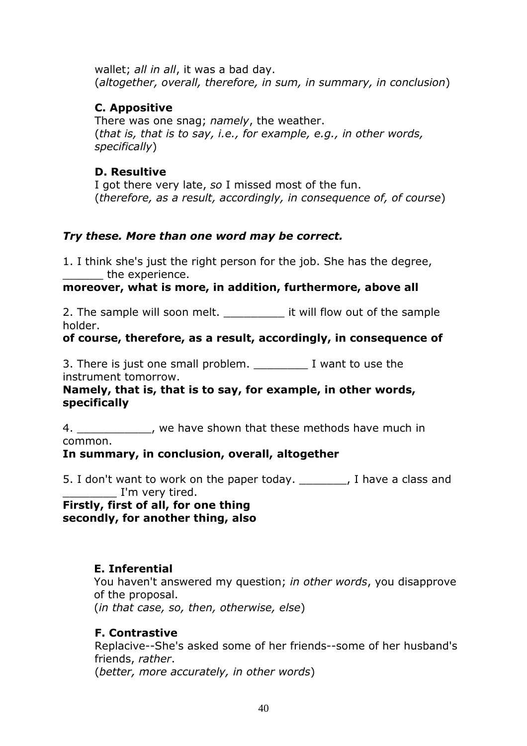wallet; all in all, it was a bad day. (altogether, overall, therefore, in sum, in summary, in conclusion)

### C. Appositive

There was one snag; *namely*, the weather. (that is, that is to say, i.e., for example, e.g., in other words, specifically)

#### D. Resultive

I got there very late, so I missed most of the fun. (therefore, as a result, accordingly, in consequence of, of course)

### Try these. More than one word may be correct.

1. I think she's just the right person for the job. She has the degree, the experience.

#### moreover, what is more, in addition, furthermore, above all

2. The sample will soon melt. The sample it will flow out of the sample holder.

#### of course, therefore, as a result, accordingly, in consequence of

3. There is just one small problem. The status of the state is just one small problem. instrument tomorrow.

#### Namely, that is, that is to say, for example, in other words, specifically

4. We have shown that these methods have much in common.

#### In summary, in conclusion, overall, altogether

5. I don't want to work on the paper today. Thave a class and \_\_\_ I'm very tired.

Firstly, first of all, for one thing secondly, for another thing, also

#### E. Inferential

You haven't answered my question; in other words, you disapprove of the proposal. (in that case, so, then, otherwise, else)

#### F. Contrastive

Replacive--She's asked some of her friends--some of her husband's friends, rather. (better, more accurately, in other words)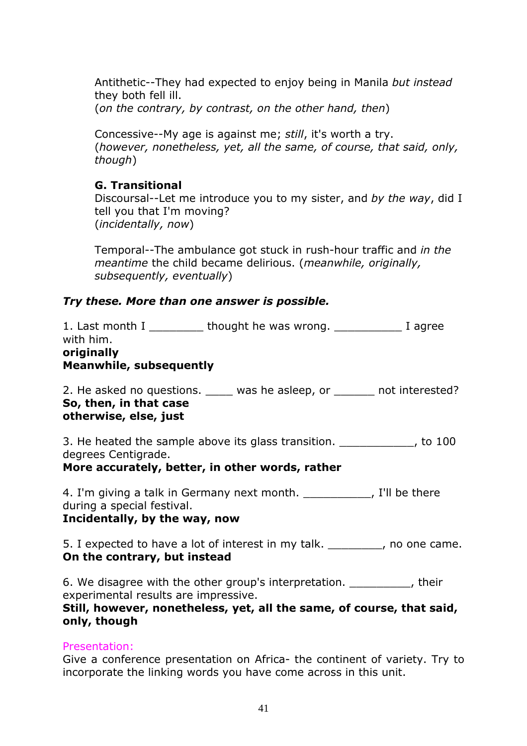Antithetic--They had expected to enjoy being in Manila but instead they both fell ill.

(on the contrary, by contrast, on the other hand, then)

Concessive--My age is against me; still, it's worth a try. (however, nonetheless, yet, all the same, of course, that said, only, though)

# G. Transitional

Discoursal--Let me introduce you to my sister, and by the way, did I tell you that I'm moving? (incidentally, now)

Temporal--The ambulance got stuck in rush-hour traffic and in the meantime the child became delirious. (meanwhile, originally, subsequently, eventually)

# Try these. More than one answer is possible.

| 1. Last month I                | thought he was wrong. | I agree |
|--------------------------------|-----------------------|---------|
| with him.                      |                       |         |
| originally                     |                       |         |
| <b>Meanwhile, subsequently</b> |                       |         |

2. He asked no questions. \_\_\_\_\_ was he asleep, or \_\_\_\_\_\_\_ not interested? So, then, in that case otherwise, else, just

3. He heated the sample above its glass transition. The heated the sample above its glass transition. degrees Centigrade.

More accurately, better, in other words, rather

4. I'm giving a talk in Germany next month. \_\_\_\_\_\_\_\_\_\_\_, I'll be there during a special festival. Incidentally, by the way, now

5. I expected to have a lot of interest in my talk. \_\_\_\_\_\_\_\_, no one came. On the contrary, but instead

6. We disagree with the other group's interpretation.  $\blacksquare$ , their experimental results are impressive.

#### Still, however, nonetheless, yet, all the same, of course, that said, only, though

# Presentation:

Give a conference presentation on Africa- the continent of variety. Try to incorporate the linking words you have come across in this unit.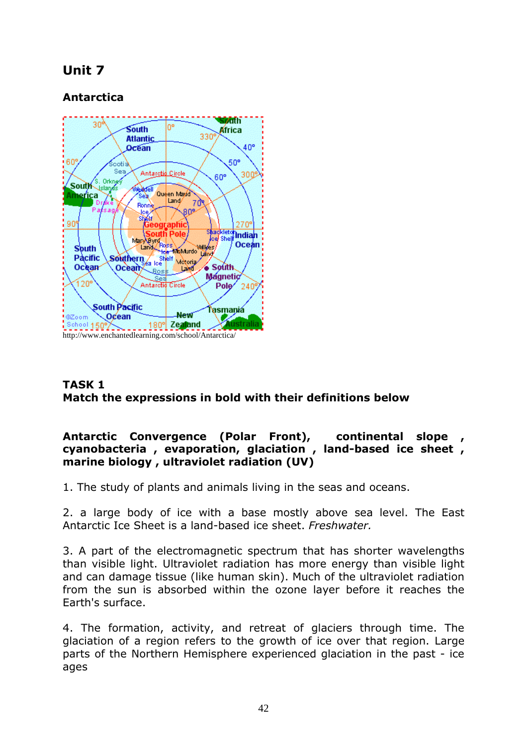# Unit 7

# Antarctica



#### TASK 1 Match the expressions in bold with their definitions below

#### Antarctic Convergence (Polar Front), continental slope cyanobacteria , evaporation, glaciation , land-based ice sheet , marine biology , ultraviolet radiation (UV)

1. The study of plants and animals living in the seas and oceans.

2. a large body of ice with a base mostly above sea level. The East Antarctic Ice Sheet is a land-based ice sheet. Freshwater.

3. A part of the electromagnetic spectrum that has shorter wavelengths than visible light. Ultraviolet radiation has more energy than visible light and can damage tissue (like human skin). Much of the ultraviolet radiation from the sun is absorbed within the ozone layer before it reaches the Earth's surface.

4. The formation, activity, and retreat of glaciers through time. The glaciation of a region refers to the growth of ice over that region. Large parts of the Northern Hemisphere experienced glaciation in the past - ice ages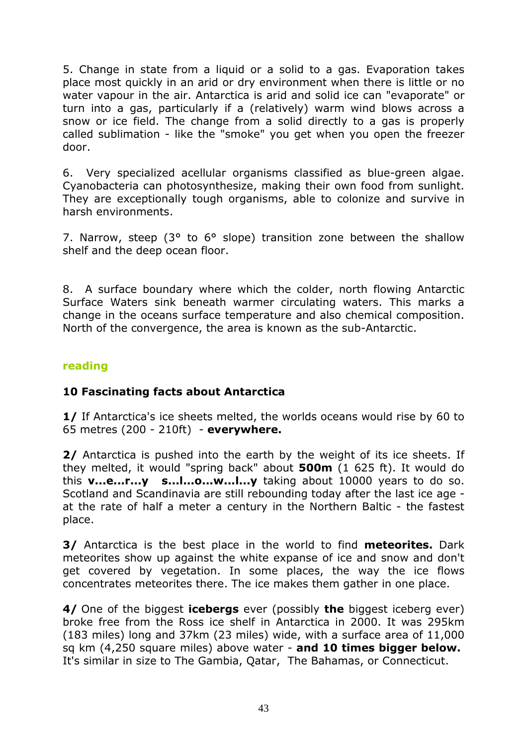5. Change in state from a liquid or a solid to a gas. Evaporation takes place most quickly in an arid or dry environment when there is little or no water vapour in the air. Antarctica is arid and solid ice can "evaporate" or turn into a gas, particularly if a (relatively) warm wind blows across a snow or ice field. The change from a solid directly to a gas is properly called sublimation - like the "smoke" you get when you open the freezer door.

6. Very specialized acellular organisms classified as blue-green algae. Cyanobacteria can photosynthesize, making their own food from sunlight. They are exceptionally tough organisms, able to colonize and survive in harsh environments.

7. Narrow, steep (3° to 6° slope) transition zone between the shallow shelf and the deep ocean floor.

8. A surface boundary where which the colder, north flowing Antarctic Surface Waters sink beneath warmer circulating waters. This marks a change in the oceans surface temperature and also chemical composition. North of the convergence, the area is known as the sub-Antarctic.

#### reading

#### 10 Fascinating facts about Antarctica

1/ If Antarctica's ice sheets melted, the worlds oceans would rise by 60 to 65 metres (200 - 210ft) - everywhere.

2/ Antarctica is pushed into the earth by the weight of its ice sheets. If they melted, it would "spring back" about 500m (1 625 ft). It would do this  $v...e...r...v$  s....I...o...w.....I... $v$  taking about 10000 years to do so. Scotland and Scandinavia are still rebounding today after the last ice age at the rate of half a meter a century in the Northern Baltic - the fastest place.

**3/** Antarctica is the best place in the world to find **meteorites.** Dark meteorites show up against the white expanse of ice and snow and don't get covered by vegetation. In some places, the way the ice flows concentrates meteorites there. The ice makes them gather in one place.

4/ One of the biggest **icebergs** ever (possibly the biggest iceberg ever) broke free from the Ross ice shelf in Antarctica in 2000. It was 295km (183 miles) long and 37km (23 miles) wide, with a surface area of 11,000 sq km (4,250 square miles) above water - and 10 times bigger below. It's similar in size to The Gambia, Qatar, The Bahamas, or Connecticut.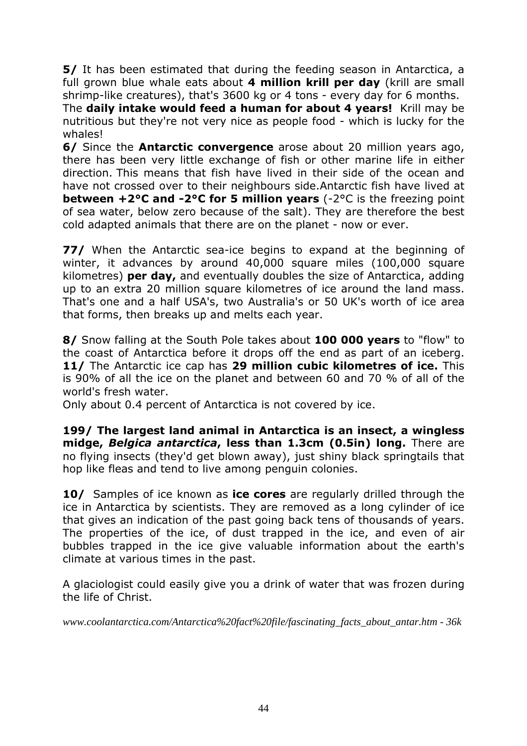5/ It has been estimated that during the feeding season in Antarctica, a full grown blue whale eats about 4 million krill per day (krill are small shrimp-like creatures), that's 3600 kg or 4 tons - every day for 6 months.

The daily intake would feed a human for about 4 years! Krill may be nutritious but they're not very nice as people food - which is lucky for the whales!

**6/ Since the Antarctic convergence** arose about 20 million years ago, there has been very little exchange of fish or other marine life in either direction. This means that fish have lived in their side of the ocean and have not crossed over to their neighbours side.Antarctic fish have lived at between +2°C and -2°C for 5 million years (-2°C is the freezing point of sea water, below zero because of the salt). They are therefore the best cold adapted animals that there are on the planet - now or ever.

77/ When the Antarctic sea-ice begins to expand at the beginning of winter, it advances by around 40,000 square miles (100,000 square kilometres) **per day,** and eventually doubles the size of Antarctica, adding up to an extra 20 million square kilometres of ice around the land mass. That's one and a half USA's, two Australia's or 50 UK's worth of ice area that forms, then breaks up and melts each year.

8/ Snow falling at the South Pole takes about 100 000 years to "flow" to the coast of Antarctica before it drops off the end as part of an iceberg. 11/ The Antarctic ice cap has 29 million cubic kilometres of ice. This is 90% of all the ice on the planet and between 60 and 70 % of all of the world's fresh water.

Only about 0.4 percent of Antarctica is not covered by ice.

199/ The largest land animal in Antarctica is an insect, a wingless midge, Belgica antarctica, less than 1.3cm (0.5in) long. There are no flying insects (they'd get blown away), just shiny black springtails that hop like fleas and tend to live among penguin colonies.

**10/** Samples of ice known as **ice cores** are regularly drilled through the ice in Antarctica by scientists. They are removed as a long cylinder of ice that gives an indication of the past going back tens of thousands of years. The properties of the ice, of dust trapped in the ice, and even of air bubbles trapped in the ice give valuable information about the earth's climate at various times in the past.

A glaciologist could easily give you a drink of water that was frozen during the life of Christ.

*www.coolantarctica.com/Antarctica%20fact%20file/fascinating\_facts\_about\_antar.htm - 36k*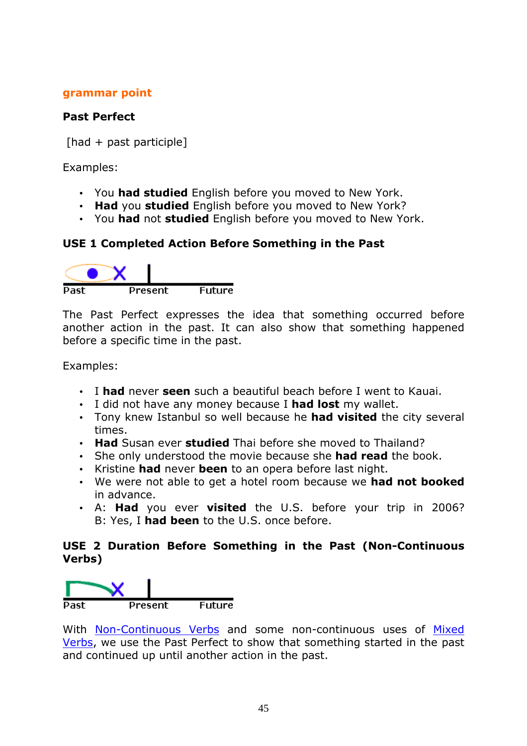#### grammar point

#### Past Perfect

[had + past participle]

Examples:

- You had studied English before you moved to New York.
- Had you studied English before you moved to New York?
- You had not studied English before you moved to New York.

#### USE 1 Completed Action Before Something in the Past



The Past Perfect expresses the idea that something occurred before another action in the past. It can also show that something happened before a specific time in the past.

Examples:

- I had never seen such a beautiful beach before I went to Kauai.
- I did not have any money because I had lost my wallet.
- Tony knew Istanbul so well because he had visited the city several times.
- Had Susan ever studied Thai before she moved to Thailand?
- She only understood the movie because she **had read** the book.
- Kristine had never been to an opera before last night.
- We were not able to get a hotel room because we had not booked in advance.
- A: Had you ever visited the U.S. before your trip in 2006? B: Yes, I had been to the U.S. once before.

#### USE 2 Duration Before Something in the Past (Non-Continuous Verbs)



With Non-Continuous Verbs and some non-continuous uses of Mixed Verbs, we use the Past Perfect to show that something started in the past and continued up until another action in the past.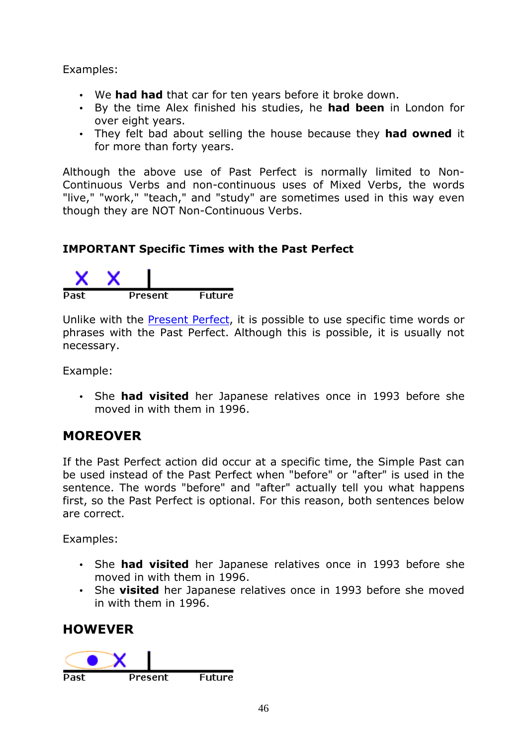Examples:

- We had had that car for ten years before it broke down.
- By the time Alex finished his studies, he had been in London for over eight years.
- They felt bad about selling the house because they had owned it for more than forty years.

Although the above use of Past Perfect is normally limited to Non-Continuous Verbs and non-continuous uses of Mixed Verbs, the words "live," "work," "teach," and "study" are sometimes used in this way even though they are NOT Non-Continuous Verbs.

# IMPORTANT Specific Times with the Past Perfect



Unlike with the Present Perfect, it is possible to use specific time words or phrases with the Past Perfect. Although this is possible, it is usually not necessary.

Example:

• She had visited her Japanese relatives once in 1993 before she moved in with them in 1996.

# MOREOVER

If the Past Perfect action did occur at a specific time, the Simple Past can be used instead of the Past Perfect when "before" or "after" is used in the sentence. The words "before" and "after" actually tell you what happens first, so the Past Perfect is optional. For this reason, both sentences below are correct.

Examples:

- She had visited her Japanese relatives once in 1993 before she moved in with them in 1996.
- She visited her Japanese relatives once in 1993 before she moved in with them in 1996.

# **HOWEVER**

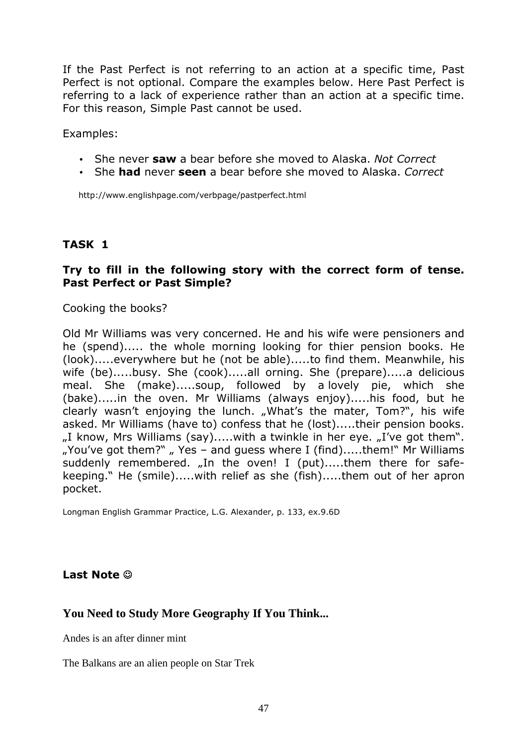If the Past Perfect is not referring to an action at a specific time, Past Perfect is not optional. Compare the examples below. Here Past Perfect is referring to a lack of experience rather than an action at a specific time. For this reason, Simple Past cannot be used.

Examples:

- She never saw a bear before she moved to Alaska. Not Correct
- She had never seen a bear before she moved to Alaska. Correct

http://www.englishpage.com/verbpage/pastperfect.html

### TASK 1

#### Try to fill in the following story with the correct form of tense. Past Perfect or Past Simple?

Cooking the books?

Old Mr Williams was very concerned. He and his wife were pensioners and he (spend)..... the whole morning looking for thier pension books. He (look).....everywhere but he (not be able).....to find them. Meanwhile, his wife (be).....busy. She (cook).....all orning. She (prepare).....a delicious meal. She (make).....soup, followed by a lovely pie, which she (bake).....in the oven. Mr Williams (always enjoy).....his food, but he clearly wasn't enjoying the lunch. "What's the mater, Tom?", his wife asked. Mr Williams (have to) confess that he (lost).....their pension books.  $\mu$ I know, Mrs Williams (say).....with a twinkle in her eye.  $\mu$ I've got them". "You've got them?"  $\mu$ , Yes – and guess where I (find).....them!" Mr Williams suddenly remembered. "In the oven! I (put).....them there for safekeeping." He (smile).....with relief as she (fish).....them out of her apron pocket.

Longman English Grammar Practice, L.G. Alexander, p. 133, ex.9.6D

#### Last Note  $\odot$

#### **You Need to Study More Geography If You Think...**

Andes is an after dinner mint

The Balkans are an alien people on Star Trek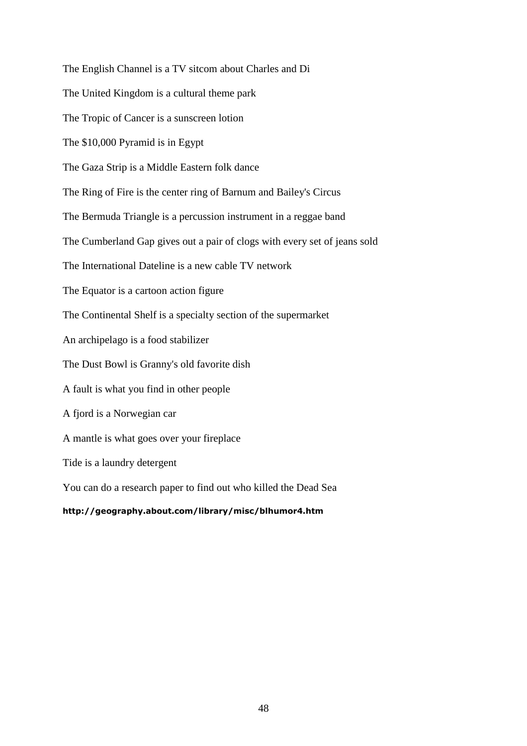The English Channel is a TV sitcom about Charles and Di The United Kingdom is a cultural theme park The Tropic of Cancer is a sunscreen lotion The \$10,000 Pyramid is in Egypt The Gaza Strip is a Middle Eastern folk dance The Ring of Fire is the center ring of Barnum and Bailey's Circus The Bermuda Triangle is a percussion instrument in a reggae band The Cumberland Gap gives out a pair of clogs with every set of jeans sold The International Dateline is a new cable TV network The Equator is a cartoon action figure The Continental Shelf is a specialty section of the supermarket An archipelago is a food stabilizer The Dust Bowl is Granny's old favorite dish A fault is what you find in other people A fjord is a Norwegian car A mantle is what goes over your fireplace Tide is a laundry detergent You can do a research paper to find out who killed the Dead Sea http://geography.about.com/library/misc/blhumor4.htm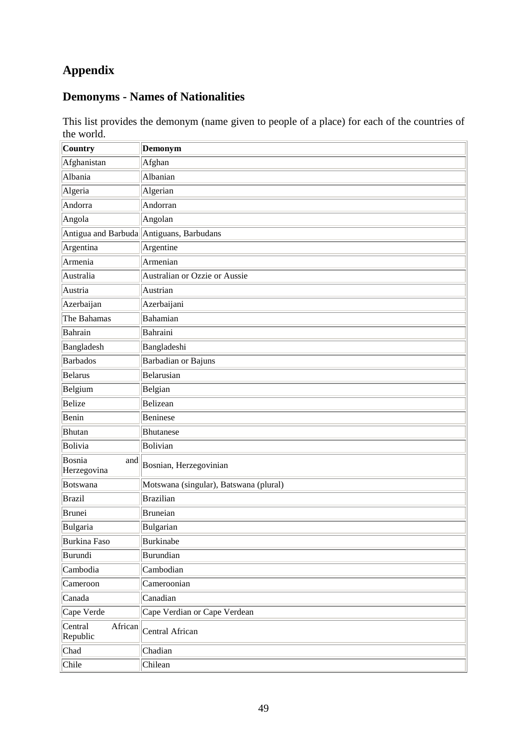# **Appendix**

# **Demonyms - Names of Nationalities**

This list provides the demonym (name given to people of a place) for each of the countries of the world.

| Country                        | Demonym                                  |
|--------------------------------|------------------------------------------|
| Afghanistan                    | Afghan                                   |
| Albania                        | Albanian                                 |
| Algeria                        | Algerian                                 |
| Andorra                        | Andorran                                 |
| Angola                         | Angolan                                  |
|                                | Antigua and Barbuda Antiguans, Barbudans |
| Argentina                      | Argentine                                |
| Armenia                        | Armenian                                 |
| Australia                      | Australian or Ozzie or Aussie            |
| Austria                        | Austrian                                 |
| Azerbaijan                     | Azerbaijani                              |
| The Bahamas                    | Bahamian                                 |
| Bahrain                        | Bahraini                                 |
| Bangladesh                     | Bangladeshi                              |
| <b>Barbados</b>                | <b>Barbadian or Bajuns</b>               |
| <b>Belarus</b>                 | Belarusian                               |
| Belgium                        | Belgian                                  |
| <b>Belize</b>                  | Belizean                                 |
| Benin                          | Beninese                                 |
| <b>Bhutan</b>                  | <b>Bhutanese</b>                         |
| Bolivia                        | Bolivian                                 |
| Bosnia<br>and<br>Herzegovina   | Bosnian, Herzegovinian                   |
| Botswana                       | Motswana (singular), Batswana (plural)   |
| <b>Brazil</b>                  | <b>Brazilian</b>                         |
| <b>Brunei</b>                  | <b>Bruneian</b>                          |
| Bulgaria                       | Bulgarian                                |
| <b>Burkina Faso</b>            | <b>Burkinabe</b>                         |
| Burundi                        | <b>Burundian</b>                         |
| Cambodia                       | Cambodian                                |
| Cameroon                       | Cameroonian                              |
| Canada                         | Canadian                                 |
| Cape Verde                     | Cape Verdian or Cape Verdean             |
| Central<br>African<br>Republic | Central African                          |
| Chad                           | Chadian                                  |
| Chile                          | Chilean                                  |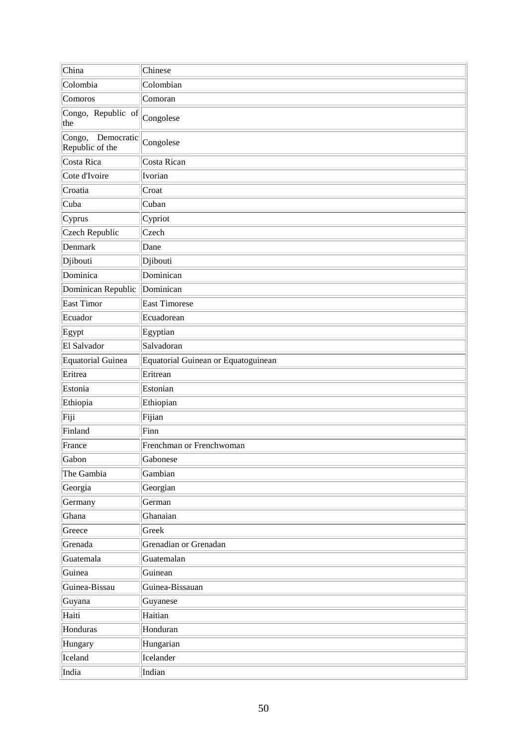| China                                   | Chinese                             |
|-----------------------------------------|-------------------------------------|
| Colombia                                | Colombian                           |
| Comoros                                 | Comoran                             |
| Congo, Republic of<br>the               | Congolese                           |
| Congo,<br>Democratic<br>Republic of the | Congolese                           |
| Costa Rica                              | Costa Rican                         |
| Cote d'Ivoire                           | Ivorian                             |
| Croatia                                 | Croat                               |
| Cuba                                    | Cuban                               |
| $C$ yprus                               | Cypriot                             |
| <b>Czech Republic</b>                   | Czech                               |
| Denmark                                 | Dane                                |
| Djibouti                                | Djibouti                            |
| Dominica                                | Dominican                           |
| Dominican Republic                      | Dominican                           |
| East Timor                              | East Timorese                       |
| Ecuador                                 | Ecuadorean                          |
| Egypt                                   | Egyptian                            |
| El Salvador                             | Salvadoran                          |
| Equatorial Guinea                       | Equatorial Guinean or Equatoguinean |
| Eritrea                                 | Eritrean                            |
| Estonia                                 | Estonian                            |
| Ethiopia                                | Ethiopian                           |
| Fiji                                    | Fijian                              |
| Finland                                 | Finn                                |
| France                                  | Frenchman or Frenchwoman            |
| Gabon                                   | Gabonese                            |
| The Gambia                              | Gambian                             |
| Georgia                                 | Georgian                            |
| Germany                                 | German                              |
| Ghana                                   | Ghanaian                            |
| Greece                                  | Greek                               |
| Grenada                                 | Grenadian or Grenadan               |
| Guatemala                               | Guatemalan                          |
| Guinea                                  | Guinean                             |
| Guinea-Bissau                           | Guinea-Bissauan                     |
| Guyana                                  | Guyanese                            |
| Haiti                                   | Haitian                             |
| Honduras                                | Honduran                            |
| Hungary                                 | Hungarian                           |
| Iceland                                 | Icelander                           |
| India                                   | Indian                              |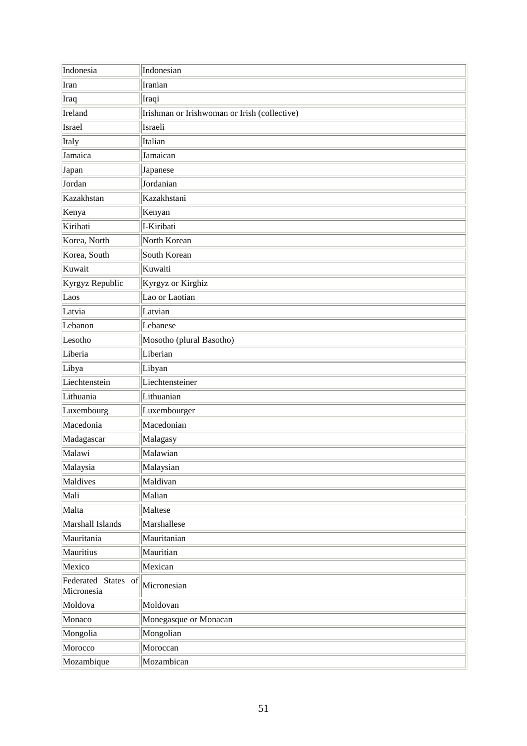| Indonesia                         | Indonesian                                   |
|-----------------------------------|----------------------------------------------|
| Iran                              | Iranian                                      |
| Iraq                              | Iraqi                                        |
| Ireland                           | Irishman or Irishwoman or Irish (collective) |
| Israel                            | Israeli                                      |
| Italy                             | Italian                                      |
| Jamaica                           | Jamaican                                     |
| Japan                             | Japanese                                     |
| Jordan                            | Jordanian                                    |
| Kazakhstan                        | Kazakhstani                                  |
| Kenya                             | Kenyan                                       |
| Kiribati                          | I-Kiribati                                   |
| Korea, North                      | North Korean                                 |
| Korea, South                      | South Korean                                 |
| Kuwait                            | Kuwaiti                                      |
| Kyrgyz Republic                   | Kyrgyz or Kirghiz                            |
| Laos                              | Lao or Laotian                               |
| Latvia                            | Latvian                                      |
| Lebanon                           | Lebanese                                     |
| Lesotho                           | Mosotho (plural Basotho)                     |
| Liberia                           | Liberian                                     |
| Libya                             | Libyan                                       |
| Liechtenstein                     | Liechtensteiner                              |
| Lithuania                         | Lithuanian                                   |
| Luxembourg                        | Luxembourger                                 |
| Macedonia                         | Macedonian                                   |
| Madagascar                        | Malagasy                                     |
| Malawi                            | Malawian                                     |
| Malaysia                          | Malaysian                                    |
| Maldives                          | Maldivan                                     |
| Mali                              | Malian                                       |
| Malta                             | Maltese                                      |
| Marshall Islands                  | Marshallese                                  |
| Mauritania                        | Mauritanian                                  |
| Mauritius                         | Mauritian                                    |
| Mexico                            | Mexican                                      |
| Federated States of<br>Micronesia | Micronesian                                  |
| Moldova                           | Moldovan                                     |
| Monaco                            | Monegasque or Monacan                        |
| Mongolia                          | Mongolian                                    |
| Morocco                           | Moroccan                                     |
| Mozambique                        | Mozambican                                   |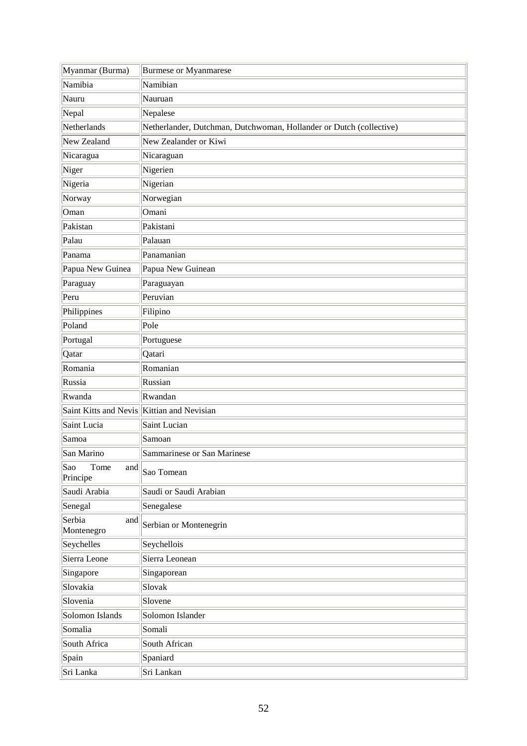| Myanmar (Burma)                            | <b>Burmese or Myanmarese</b>                                        |
|--------------------------------------------|---------------------------------------------------------------------|
| Namibia                                    | Namibian                                                            |
| Nauru                                      | Nauruan                                                             |
| Nepal                                      | Nepalese                                                            |
| Netherlands                                | Netherlander, Dutchman, Dutchwoman, Hollander or Dutch (collective) |
| New Zealand                                | New Zealander or Kiwi                                               |
| Nicaragua                                  | Nicaraguan                                                          |
| Niger                                      | Nigerien                                                            |
| Nigeria                                    | Nigerian                                                            |
| Norway                                     | Norwegian                                                           |
| Oman                                       | Omani                                                               |
| Pakistan                                   | Pakistani                                                           |
| Palau                                      | Palauan                                                             |
| Panama                                     | Panamanian                                                          |
| Papua New Guinea                           | Papua New Guinean                                                   |
| Paraguay                                   | Paraguayan                                                          |
| Peru                                       | Peruvian                                                            |
| Philippines                                | Filipino                                                            |
| Poland                                     | Pole                                                                |
| Portugal                                   | Portuguese                                                          |
| Qatar                                      | Qatari                                                              |
| Romania                                    | Romanian                                                            |
| Russia                                     | Russian                                                             |
| Rwanda                                     | Rwandan                                                             |
| Saint Kitts and Nevis Kittian and Nevisian |                                                                     |
| Saint Lucia                                | Saint Lucian                                                        |
| Samoa                                      | Samoan                                                              |
| San Marino                                 | Sammarinese or San Marinese                                         |
| Sao<br>Tome<br>and<br>Principe             | Sao Tomean                                                          |
| Saudi Arabia                               | Saudi or Saudi Arabian                                              |
| Senegal                                    | Senegalese                                                          |
| Serbia<br>and<br>Montenegro                | Serbian or Montenegrin                                              |
| Seychelles                                 | Seychellois                                                         |
| Sierra Leone                               | Sierra Leonean                                                      |
| Singapore                                  | Singaporean                                                         |
| Slovakia                                   | Slovak                                                              |
| Slovenia                                   | Slovene                                                             |
| Solomon Islands                            | Solomon Islander                                                    |
| Somalia                                    | Somali                                                              |
| South Africa                               | South African                                                       |
| Spain                                      | Spaniard                                                            |
| Sri Lanka                                  | Sri Lankan                                                          |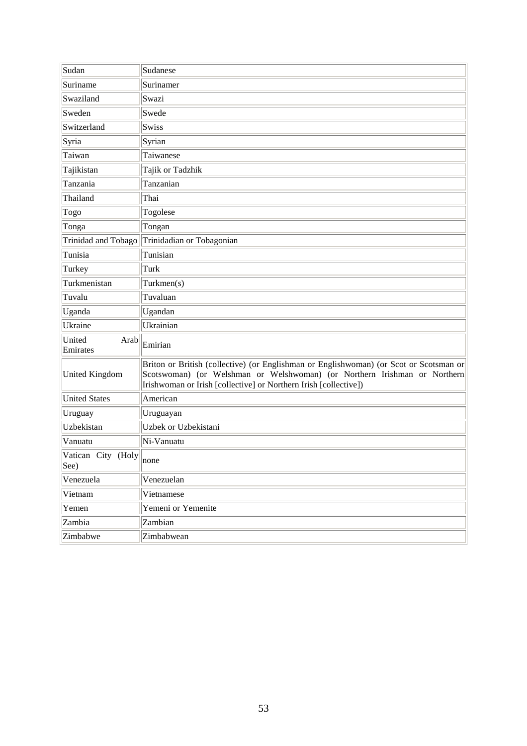| Sudan                      | Sudanese                                                                                                                                                                                                                                |
|----------------------------|-----------------------------------------------------------------------------------------------------------------------------------------------------------------------------------------------------------------------------------------|
| Suriname                   | Surinamer                                                                                                                                                                                                                               |
| Swaziland                  | Swazi                                                                                                                                                                                                                                   |
| Sweden                     | Swede                                                                                                                                                                                                                                   |
| Switzerland                | Swiss                                                                                                                                                                                                                                   |
| Syria                      | Syrian                                                                                                                                                                                                                                  |
| Taiwan                     | Taiwanese                                                                                                                                                                                                                               |
| Tajikistan                 | Tajik or Tadzhik                                                                                                                                                                                                                        |
| Tanzania                   | Tanzanian                                                                                                                                                                                                                               |
| Thailand                   | Thai                                                                                                                                                                                                                                    |
| Togo                       | Togolese                                                                                                                                                                                                                                |
| Tonga                      | Tongan                                                                                                                                                                                                                                  |
| Trinidad and Tobago        | Trinidadian or Tobagonian                                                                                                                                                                                                               |
| Tunisia                    | Tunisian                                                                                                                                                                                                                                |
| Turkey                     | Turk                                                                                                                                                                                                                                    |
| Turkmenistan               | Turkmen(s)                                                                                                                                                                                                                              |
| Tuvalu                     | Tuvaluan                                                                                                                                                                                                                                |
| Uganda                     | Ugandan                                                                                                                                                                                                                                 |
| Ukraine                    | Ukrainian                                                                                                                                                                                                                               |
| United<br>Arab<br>Emirates | Emirian                                                                                                                                                                                                                                 |
| United Kingdom             | Briton or British (collective) (or Englishman or Englishwoman) (or Scot or Scotsman or<br>Scotswoman) (or Welshman or Welshwoman) (or Northern Irishman or Northern<br>Irishwoman or Irish [collective] or Northern Irish [collective]) |
| <b>United States</b>       | American                                                                                                                                                                                                                                |
| Uruguay                    | Uruguayan                                                                                                                                                                                                                               |
| Uzbekistan                 | Uzbek or Uzbekistani                                                                                                                                                                                                                    |
| Vanuatu                    | Ni-Vanuatu                                                                                                                                                                                                                              |
| Vatican City (Holy<br>See) | none                                                                                                                                                                                                                                    |
| Venezuela                  | Venezuelan                                                                                                                                                                                                                              |
| Vietnam                    | Vietnamese                                                                                                                                                                                                                              |
| Yemen                      | Yemeni or Yemenite                                                                                                                                                                                                                      |
| Zambia                     | Zambian                                                                                                                                                                                                                                 |
| Zimbabwe                   | Zimbabwean                                                                                                                                                                                                                              |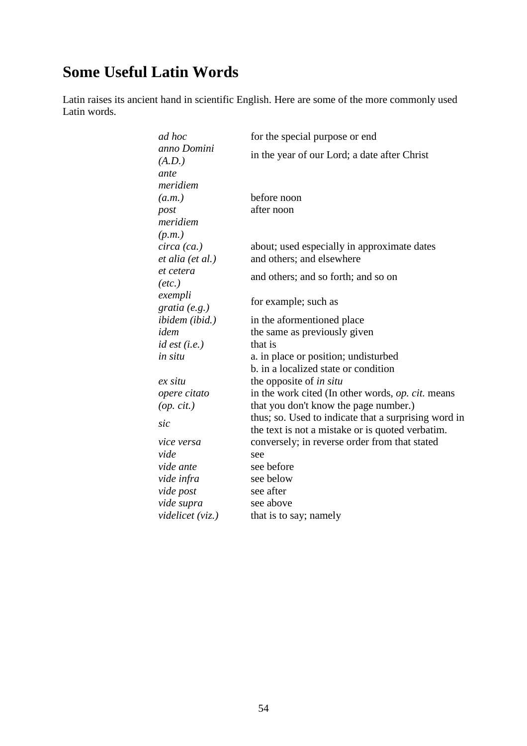# **Some Useful Latin Words**

Latin raises its ancient hand in scientific English. Here are some of the more commonly used Latin words.

| ad hoc                         | for the special purpose or end                       |
|--------------------------------|------------------------------------------------------|
| anno Domini<br>(A.D.)          | in the year of our Lord; a date after Christ         |
| ante                           |                                                      |
| meridiem                       |                                                      |
| (a.m.)                         | before noon                                          |
| post                           | after noon                                           |
| meridiem                       |                                                      |
| (p.m.)                         |                                                      |
| circa (ca.)                    | about; used especially in approximate dates          |
| et alia (et al.)               | and others; and elsewhere                            |
| et cetera<br>$(\textit{etc.})$ | and others; and so forth; and so on                  |
| exempli                        |                                                      |
| gratia $(e.g.)$                | for example; such as                                 |
| ibidem (ibid.)                 | in the aformentioned place                           |
| idem                           | the same as previously given                         |
| $id$ est $(i.e.)$              | that is                                              |
| in situ                        | a. in place or position; undisturbed                 |
|                                | b. in a localized state or condition                 |
| ex situ                        | the opposite of <i>in situ</i>                       |
| opere citato                   | in the work cited (In other words, op. cit. means    |
| (op. cit.)                     | that you don't know the page number.)                |
|                                | thus; so. Used to indicate that a surprising word in |
| sic                            | the text is not a mistake or is quoted verbatim.     |
| vice versa                     | conversely; in reverse order from that stated        |
| vide                           | see                                                  |
| vide ante                      | see before                                           |
| vide infra                     | see below                                            |
| vide post                      | see after                                            |
| vide supra                     | see above                                            |
| videlicet (viz.)               | that is to say; namely                               |